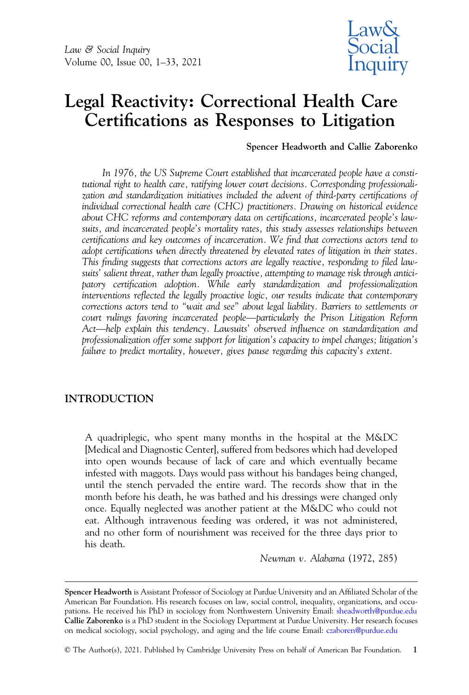

# Legal Reactivity: Correctional Health Care Certifications as Responses to Litigation

Spencer Headworth and Callie Zaborenko

In 1976, the US Supreme Court established that incarcerated people have a constitutional right to health care, ratifying lower court decisions. Corresponding professionalization and standardization initiatives included the advent of third-party certifications of individual correctional health care (CHC) practitioners. Drawing on historical evidence about CHC reforms and contemporary data on certifications, incarcerated people's lawsuits, and incarcerated people's mortality rates, this study assesses relationships between certifications and key outcomes of incarceration. We find that corrections actors tend to adopt certifications when directly threatened by elevated rates of litigation in their states. This finding suggests that corrections actors are legally reactive, responding to filed lawsuits' salient threat, rather than legally proactive, attempting to manage risk through anticipatory certification adoption. While early standardization and professionalization interventions reflected the legally proactive logic, our results indicate that contemporary corrections actors tend to "wait and see" about legal liability. Barriers to settlements or suits' salient threat, rather than legally proactive, attempting to manage risk through antici-<br>patory certification adoption. While early standardization and professionalization<br>interventions reflected the legally proacti court rulings favoring incarcerated people—particularly the Prison Litigation Reform<br>Act—help explain this tendency. Lawsuits' observed influence on standardization and professionalization offer some support for litigation's capacity to impel changes; litigation's failure to predict mortality, however, gives pause regarding this capacity's extent.

# INTRODUCTION

A quadriplegic, who spent many months in the hospital at the M&DC [Medical and Diagnostic Center], suffered from bedsores which had developed into open wounds because of lack of care and which eventually became infested with maggots. Days would pass without his bandages being changed, until the stench pervaded the entire ward. The records show that in the month before his death, he was bathed and his dressings were changed only once. Equally neglected was another patient at the M&DC who could not eat. Although intravenous feeding was ordered, it was not administered, and no other form of nourishment was received for the three days prior to his death.

Newman v. Alabama (1972, 285)

Spencer Headworth is Assistant Professor of Sociology at Purdue University and an Affiliated Scholar of the American Bar Foundation. His research focuses on law, social control, inequality, organizations, and occupations. He received his PhD in sociology from Northwestern University Email: [sheadworth@purdue.edu](mailto:sheadworth@purdue.edu) Callie Zaborenko is a PhD student in the Sociology Department at Purdue University. Her research focuses on medical sociology, social psychology, and aging and the life course Email: [czaboren@purdue.edu](mailto:czaboren@purdue.edu)

<sup>©</sup> The Author(s), 2021. Published by Cambridge University Press on behalf of American Bar Foundation. 1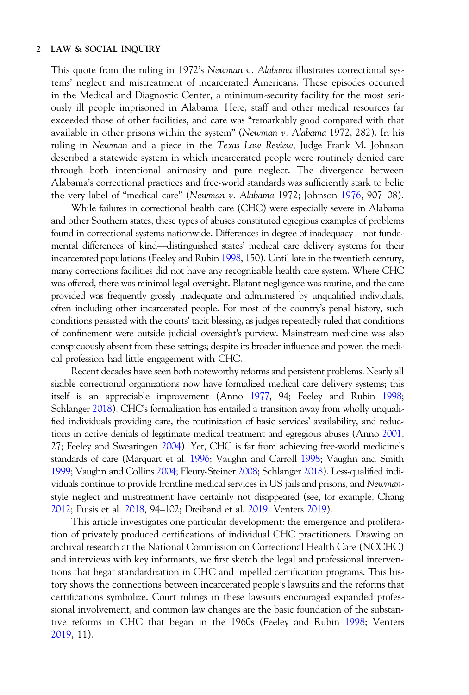This quote from the ruling in 1972's Newman v. Alabama illustrates correctional systems' neglect and mistreatment of incarcerated Americans. These episodes occurred in the Medical and Diagnostic Center, a minimum-security facility for the most seriously ill people imprisoned in Alabama. Here, staff and other medical resources far exceeded those of other facilities, and care was "remarkably good compared with that available in other prisons within the system" (Newman v. Alabama 1972, 282). In his ruling in Newman and a piece in the Texas Law Review, Judge Frank M. Johnson described a statewide system in which incarcerated people were routinely denied care through both intentional animosity and pure neglect. The divergence between Alabama's correctional practices and free-world standards was sufficiently stark to belie

the very label of "medical care" (Newman v. Alabama 1972; Johnson [1976](#page-29-0), 907–08).<br>
While failures in correctional health care (CHC) were especially severe in Alabama<br>
and other Southern states, these types of abuses constit While failures in correctional health care (CHC) were especially severe in Alabama and other Southern states, these types of abuses constituted egregious examples of problems found in correctional systems nationwide. Differences in degree of inadequacy—not funda-<br>mental differences of kind—distinguished states' medical care delivery systems for their incarcerated populations (Feeley and Rubin [1998,](#page-29-0) 150). Until late in the twentieth century, many corrections facilities did not have any recognizable health care system. Where CHC was offered, there was minimal legal oversight. Blatant negligence was routine, and the care provided was frequently grossly inadequate and administered by unqualified individuals, often including other incarcerated people. For most of the country's penal history, such conditions persisted with the courts' tacit blessing, as judges repeatedly ruled that conditions of confinement were outside judicial oversight's purview. Mainstream medicine was also conspicuously absent from these settings; despite its broader influence and power, the medical profession had little engagement with CHC.

Recent decades have seen both noteworthy reforms and persistent problems. Nearly all sizable correctional organizations now have formalized medical care delivery systems; this itself is an appreciable improvement (Anno [1977](#page-28-0), 94; Feeley and Rubin [1998](#page-29-0); Schlanger [2018](#page-30-0)). CHC's formalization has entailed a transition away from wholly unqualified individuals providing care, the routinization of basic services' availability, and reductions in active denials of legitimate medical treatment and egregious abuses (Anno [2001](#page-28-0), 27; Feeley and Swearingen [2004\)](#page-29-0). Yet, CHC is far from achieving free-world medicine's standards of care (Marquart et al. [1996](#page-30-0); Vaughn and Carroll [1998;](#page-31-0) Vaughn and Smith [1999](#page-31-0); Vaughn and Collins [2004](#page-31-0); Fleury-Steiner [2008;](#page-29-0) Schlanger [2018\)](#page-30-0). Less-qualified individuals continue to provide frontline medical services in US jails and prisons, and Newmanstyle neglect and mistreatment have certainly not disappeared (see, for example, Chang [2012](#page-28-0); Puisis et al. [2018](#page-30-0), 94–102; Dreiband et al. [2019](#page-28-0); Venters [2019](#page-31-0)).

This article investigates one particular development: the emergence and proliferation of privately produced certifications of individual CHC practitioners. Drawing on archival research at the National Commission on Correctional Health Care (NCCHC) and interviews with key informants, we first sketch the legal and professional interventions that begat standardization in CHC and impelled certification programs. This history shows the connections between incarcerated people's lawsuits and the reforms that certifications symbolize. Court rulings in these lawsuits encouraged expanded professional involvement, and common law changes are the basic foundation of the substantive reforms in CHC that began in the 1960s (Feeley and Rubin [1998](#page-29-0); Venters [2019,](#page-31-0) 11).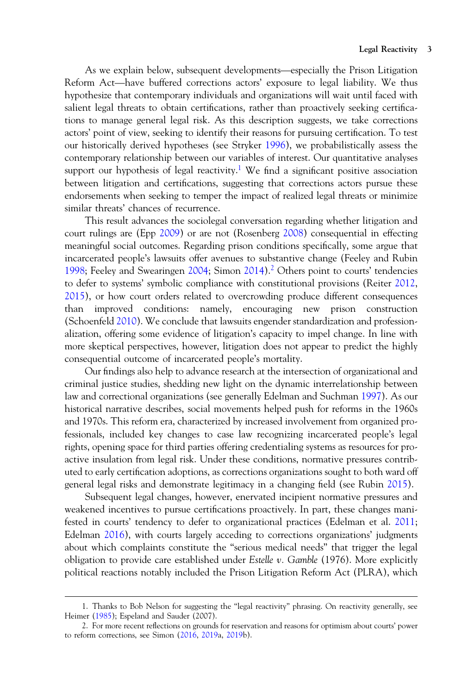As we explain below, subsequent developments—especially the Prison Litigation Reform Act—have buffered corrections actors' exposure to legal liability. We thus hypothesize that contemporary individuals and organizations will wait until faced with salient legal threats to obtain certifications, rather than proactively seeking certifications to manage general legal risk. As this description suggests, we take corrections actors' point of view, seeking to identify their reasons for pursuing certification. To test our historically derived hypotheses (see Stryker [1996\)](#page-31-0), we probabilistically assess the contemporary relationship between our variables of interest. Our quantitative analyses support our hypothesis of legal reactivity.<sup>1</sup> We find a significant positive association between litigation and certifications, suggesting that corrections actors pursue these endorsements when seeking to temper the impact of realized legal threats or minimize similar threats' chances of recurrence.

This result advances the sociolegal conversation regarding whether litigation and court rulings are (Epp [2009](#page-28-0)) or are not (Rosenberg [2008](#page-30-0)) consequential in effecting meaningful social outcomes. Regarding prison conditions specifically, some argue that incarcerated people's lawsuits offer avenues to substantive change (Feeley and Rubin [1998;](#page-29-0) Feeley and Swearingen [2004;](#page-29-0) Simon  $2014$ ).<sup>2</sup> Others point to courts' tendencies to defer to systems' symbolic compliance with constitutional provisions (Reiter [2012](#page-30-0), [2015\)](#page-30-0), or how court orders related to overcrowding produce different consequences than improved conditions: namely, encouraging new prison construction (Schoenfeld [2010\)](#page-31-0). We conclude that lawsuits engender standardization and professionalization, offering some evidence of litigation's capacity to impel change. In line with more skeptical perspectives, however, litigation does not appear to predict the highly consequential outcome of incarcerated people's mortality.

Our findings also help to advance research at the intersection of organizational and criminal justice studies, shedding new light on the dynamic interrelationship between law and correctional organizations (see generally Edelman and Suchman [1997](#page-28-0)). As our historical narrative describes, social movements helped push for reforms in the 1960s and 1970s. This reform era, characterized by increased involvement from organized professionals, included key changes to case law recognizing incarcerated people's legal rights, opening space for third parties offering credentialing systems as resources for proactive insulation from legal risk. Under these conditions, normative pressures contributed to early certification adoptions, as corrections organizations sought to both ward off general legal risks and demonstrate legitimacy in a changing field (see Rubin [2015](#page-30-0)).

Subsequent legal changes, however, enervated incipient normative pressures and weakened incentives to pursue certifications proactively. In part, these changes manifested in courts' tendency to defer to organizational practices (Edelman et al. [2011](#page-28-0); Edelman [2016](#page-28-0)), with courts largely acceding to corrections organizations' judgments about which complaints constitute the "serious medical needs" that trigger the legal obligation to provide care established under Estelle  $v$ . Gamble (1976). More explicitly political reactions notably included the Prison Litigation Reform Act (PLRA), which

<sup>1.</sup> Thanks to Bob Nelson for suggesting the "legal reactivity" phrasing. On reactivity generally, see Heimer ([1985\)](#page-29-0); Espeland and Sauder (2007).

<sup>2.</sup> For more recent reflections on grounds for reservation and reasons for optimism about courts' power to reform corrections, see Simon ([2016,](#page-31-0) [2019a](#page-31-0), [2019b](#page-31-0)).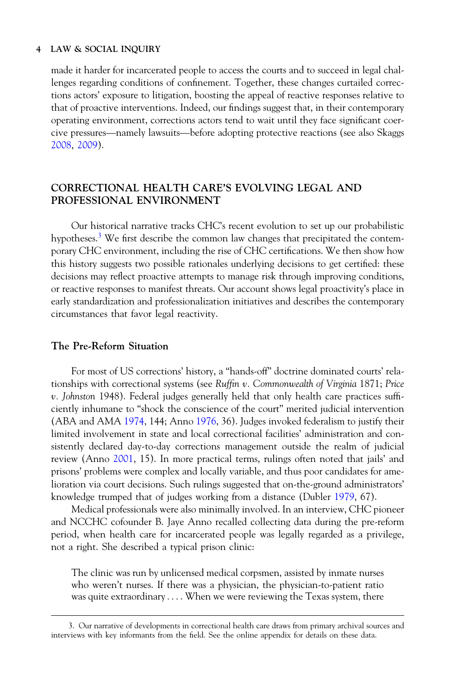made it harder for incarcerated people to access the courts and to succeed in legal challenges regarding conditions of confinement. Together, these changes curtailed corrections actors' exposure to litigation, boosting the appeal of reactive responses relative to that of proactive interventions. Indeed, our findings suggest that, in their contemporary operating environment, corrections actor that of proactive interventions. Indeed, our findings suggest that, in their contemporary operating environment, corrections actors tend to wait until they face significant coer-[2008,](#page-31-0) [2009](#page-31-0)).

# CORRECTIONAL HEALTH CARE'S EVOLVING LEGAL AND PROFESSIONAL ENVIRONMENT

Our historical narrative tracks CHC's recent evolution to set up our probabilistic hypotheses.<sup>3</sup> We first describe the common law changes that precipitated the contemporary CHC environment, including the rise of CHC certifications. We then show how this history suggests two possible rationales underlying decisions to get certified: these decisions may reflect proactive attempts to manage risk through improving conditions, or reactive responses to manifest threats. Our account shows legal proactivity's place in early standardization and professionalization initiatives and describes the contemporary circumstances that favor legal reactivity.

## The Pre-Reform Situation

For most of US corrections' history, a "hands-off" doctrine dominated courts' relationships with correctional systems (see Ruffin  $\nu$ . Commonwealth of Virginia 1871; Price v. Johnston 1948). Federal judges generally held that only health care practices sufficiently inhumane to "shock the conscience of the court" merited judicial intervention (ABA and AMA [1974](#page-27-0), 144; Anno [1976](#page-28-0), 36). Judges invoked federalism to justify their limited involvement in state and local correctional facilities' administration and consistently declared day-to-day corrections management outside the realm of judicial review (Anno [2001](#page-28-0), 15). In more practical terms, rulings often noted that jails' and prisons' problems were complex and locally variable, and thus poor candidates for amelioration via court decisions. Such rulings suggested that on-the-ground administrators' knowledge trumped that of judges working from a distance (Dubler [1979](#page-28-0), 67).

Medical professionals were also minimally involved. In an interview, CHC pioneer and NCCHC cofounder B. Jaye Anno recalled collecting data during the pre-reform period, when health care for incarcerated people was legally regarded as a privilege, not a right. She described a typical prison clinic:

The clinic was run by unlicensed medical corpsmen, assisted by inmate nurses who weren't nurses. If there was a physician, the physician-to-patient ratio was quite extraordinary .... When we were reviewing the Texas system, there

<sup>3.</sup> Our narrative of developments in correctional health care draws from primary archival sources and interviews with key informants from the field. See the online appendix for details on these data.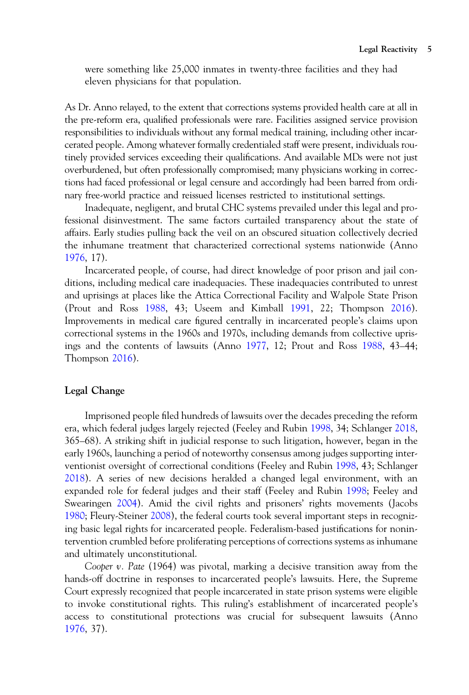were something like 25,000 inmates in twenty-three facilities and they had eleven physicians for that population.

As Dr. Anno relayed, to the extent that corrections systems provided health care at all in the pre-reform era, qualified professionals were rare. Facilities assigned service provision responsibilities to individuals without any formal medical training, including other incarcerated people. Among whatever formally credentialed staff were present, individuals routinely provided services exceeding their qualifications. And available MDs were not just overburdened, but often professionally compromised; many physicians working in corrections had faced professional or legal censure and accordingly had been barred from ordinary free-world practice and reissued licenses restricted to institutional settings.

Inadequate, negligent, and brutal CHC systems prevailed under this legal and professional disinvestment. The same factors curtailed transparency about the state of affairs. Early studies pulling back the veil on an obscured situation collectively decried the inhumane treatment that characterized correctional systems nationwide (Anno [1976,](#page-28-0) 17).

Incarcerated people, of course, had direct knowledge of poor prison and jail conditions, including medical care inadequacies. These inadequacies contributed to unrest and uprisings at places like the Attica Correctional Facility and Walpole State Prison (Prout and Ross [1988](#page-30-0), 43; Useem and Kimball [1991](#page-31-0), 22; Thompson [2016](#page-31-0)). Improvements in medical care figured centrally in incarcerated people's claims upon correctional systems in the 1960s and 1970s, including demands from collective uprisings and the contents of lawsuits (Anno [1977](#page-28-0), 12; Prout and Ross [1988](#page-30-0), 43–44; Thompson [2016](#page-31-0)).

## Legal Change

Imprisoned people filed hundreds of lawsuits over the decades preceding the reform era, which federal judges largely rejected (Feeley and Rubin [1998,](#page-29-0) 34; Schlanger [2018](#page-30-0), 365–68). A striking shift in judicial response to such litigation, however, began in the early 1960s, launching a period of noteworthy consensus among judges supporting interventionist oversight of correctional conditions (Feeley and Rubin [1998](#page-29-0), 43; Schlanger [2018\)](#page-30-0). A series of new decisions heralded a changed legal environment, with an expanded role for federal judges and their staff (Feeley and Rubin [1998](#page-29-0); Feeley and Swearingen [2004](#page-29-0)). Amid the civil rights and prisoners' rights movements (Jacobs [1980;](#page-29-0) Fleury-Steiner [2008\)](#page-29-0), the federal courts took several important steps in recognizing basic legal rights for incarcerated people. Federalism-based justifications for nonintervention crumbled before proliferating perceptions of corrections systems as inhumane and ultimately unconstitutional.

Cooper v. Pate (1964) was pivotal, marking a decisive transition away from the hands-off doctrine in responses to incarcerated people's lawsuits. Here, the Supreme Court expressly recognized that people incarcerated in state prison systems were eligible to invoke constitutional rights. This ruling's establishment of incarcerated people's access to constitutional protections was crucial for subsequent lawsuits (Anno [1976,](#page-28-0) 37).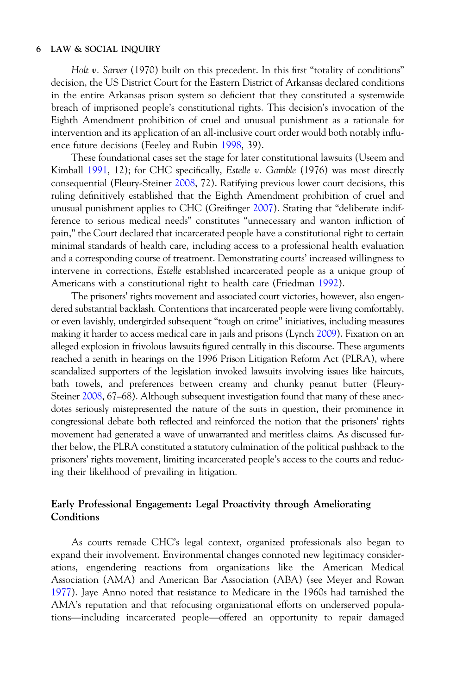Holt v. Sarver (1970) built on this precedent. In this first "totality of conditions" decision, the US District Court for the Eastern District of Arkansas declared conditions in the entire Arkansas prison system so deficient that they constituted a systemwide breach of imprisoned people's constitutional rights. This decision's invocation of the Eighth Amendment prohibition of cruel and unusual punishment as a rationale for intervention and its application of an all-inclusive court order would both notably influence future decisions (Feeley and Rubin [1998](#page-29-0), 39).

These foundational cases set the stage for later constitutional lawsuits (Useem and Kimball [1991](#page-31-0), 12); for CHC specifically, *Estelle v. Gamble* (1976) was most directly consequential (Fleury-Steiner [2008](#page-29-0), 72). Ratifying previous lower court decisions, this ruling definitively established that the Eighth Amendment prohibition of cruel and unusual punishment applies to CHC (Greifinger [2007](#page-29-0)). Stating that "deliberate indifference to serious medical needs" constitutes "unnecessary and wanton infliction of pain," the Court declared that incarcerated people have a constitutional right to certain minimal standards of health care, including access to a professional health evaluation and a corresponding course of treatment. Demonstrating courts' increased willingness to intervene in corrections, Estelle established incarcerated people as a unique group of Americans with a constitutional right to health care (Friedman [1992\)](#page-29-0).

The prisoners' rights movement and associated court victories, however, also engendered substantial backlash. Contentions that incarcerated people were living comfortably, or even lavishly, undergirded subsequent "tough on crime" initiatives, including measures making it harder to access medical care in jails and prisons (Lynch [2009\)](#page-29-0). Fixation on an alleged explosion in frivolous lawsuits figured centrally in this discourse. These arguments reached a zenith in hearings on the 1996 Prison Litigation Reform Act (PLRA), where scandalized supporters of the legislation invoked lawsuits involving issues like haircuts, bath towels, and preferences between creamy and chunky peanut butter (Fleury-Steiner [2008,](#page-29-0) 67–68). Although subsequent investigation found that many of these anecdotes seriously misrepresented the nature of the suits in question, their prominence in congressional debate both reflected and reinforced the notion that the prisoners' rights movement had generated a wave of unwarranted and meritless claims. As discussed further below, the PLRA constituted a statutory culmination of the political pushback to the prisoners' rights movement, limiting incarcerated people's access to the courts and reducing their likelihood of prevailing in litigation.

# Early Professional Engagement: Legal Proactivity through Ameliorating **Conditions**

As courts remade CHC's legal context, organized professionals also began to expand their involvement. Environmental changes connoted new legitimacy considerations, engendering reactions from organizations like the American Medical Association (AMA) and American Bar Association (ABA) (see Meyer and Rowan 1977). Jaye Anno noted that resistance to Medicare in the 1960s had tarnished the AMA's reputation and that refocusing organizational efforts on und [1977\)](#page-30-0). Jaye Anno noted that resistance to Medicare in the 1960s had tarnished the AMA's reputation and that refocusing organizational efforts on underserved popula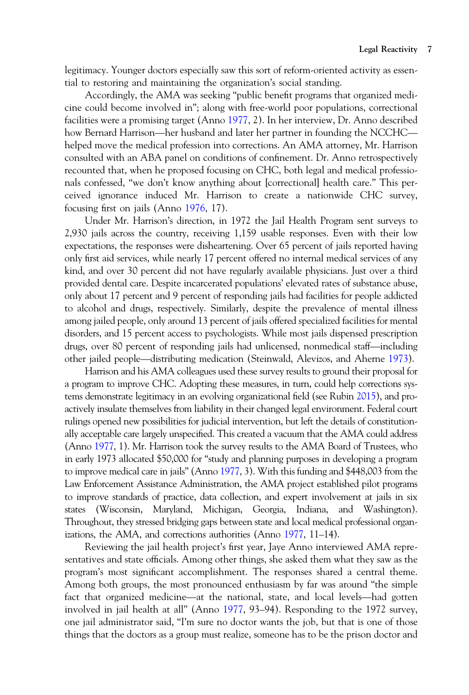legitimacy. Younger doctors especially saw this sort of reform-oriented activity as essential to restoring and maintaining the organization's social standing.

Accordingly, the AMA was seeking "public benefit programs that organized medicine could become involved in"; along with free-world poor populations, correctional facilities were a promising target (Anno [1977](#page-28-0), 2). In her interview, Dr. Anno described how Bernard Harrison—her husband and later her partner in founding the NCCHC—<br>how Bernard Harrison—her husband and later her partner in founding the NCCHC—<br>how Bernard Harrison—her husband and later her partner in founding helped move the medical profession into corrections. An AMA attorney, Mr. Harrison consulted with an ABA panel on conditions of confinement. Dr. Anno retrospectively recounted that, when he proposed focusing on CHC, both legal and medical professionals confessed, "we don't know anything about [correctional] health care." This perceived ignorance induced Mr. Harrison to create a nationwide CHC survey, focusing first on jails (Anno [1976,](#page-28-0) 17).

Under Mr. Harrison's direction, in 1972 the Jail Health Program sent surveys to 2,930 jails across the country, receiving 1,159 usable responses. Even with their low expectations, the responses were disheartening. Over 65 percent of jails reported having only first aid services, while nearly 17 percent offered no internal medical services of any kind, and over 30 percent did not have regularly available physicians. Just over a third provided dental care. Despite incarcerated populations' elevated rates of substance abuse, only about 17 percent and 9 percent of responding jails had facilities for people addicted to alcohol and drugs, respectively. Similarly, despite the prevalence of mental illness among jailed people, only around 13 percent of jails offered specialized facilities for mental disorders, and 15 percent access to psychologists. While most jails dispensed prescription drugs, respectively. Similarly, despite the prevalence of mental illness<br>among jailed people, only around 13 percent of jails offered specialized facilities for mental<br>disorders, and 15 percent access to psychologists. Whi of the prevalence of memal imaging the matrix and analyst expectively. Chinally, useful and prevalence of menta<br>alisorders, and 15 percent access to psychologists. While most jails dispensed prescription<br>drugs, over 80 per

Harrison and his AMA colleagues used these survey results to ground their proposal for a program to improve CHC. Adopting these measures, in turn, could help corrections systems demonstrate legitimacy in an evolving organizational field (see Rubin [2015\)](#page-30-0), and proactively insulate themselves from liability in their changed legal environment. Federal court rulings opened new possibilities for judicial intervention, but left the details of constitutionally acceptable care largely unspecified. This created a vacuum that the AMA could address (Anno [1977,](#page-28-0) 1). Mr. Harrison took the survey results to the AMA Board of Trustees, who in early 1973 allocated \$50,000 for "study and planning purposes in developing a program to improve medical care in jails" (Anno [1977](#page-28-0), 3). With this funding and \$448,003 from the Law Enforcement Assistance Administration, the AMA project established pilot programs to improve standards of practice, data collection, and expert involvement at jails in six states (Wisconsin, Maryland, Michigan, Georgia, Indiana, and Washington). Throughout, they stressed bridging gaps between state and local medical professional organizations, the AMA, and corrections authorities (Anno [1977,](#page-28-0) 11–14).

Reviewing the jail health project's first year, Jaye Anno interviewed AMA representatives and state officials. Among other things, she asked them what they saw as the program's most significant accomplishment. The responses shared a central theme. Among both groups, the most pronounced enthusiasm by far was around "the simple fact that officials. Among other things, she asked them what they saw as the program's most significant accomplishment. The responses shared a central theme.<br>Among both groups, the most pronounced enthusiasm by far was aro involved in jail health at all" (Anno [1977](#page-28-0), 93–94). Responding to the 1972 survey, one jail administrator said, "I'm sure no doctor wants the job, but that is one of those things that the doctors as a group must realize, someone has to be the prison doctor and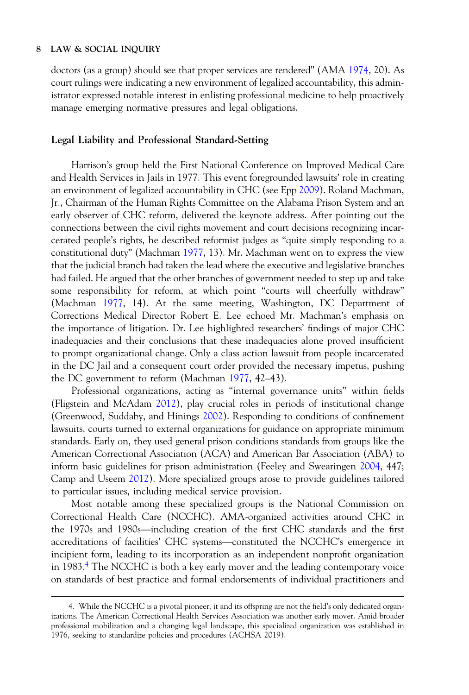doctors (as a group) should see that proper services are rendered" (AMA [1974](#page-27-0), 20). As court rulings were indicating a new environment of legalized accountability, this administrator expressed notable interest in enlisting professional medicine to help proactively manage emerging normative pressures and legal obligations.

#### Legal Liability and Professional Standard-Setting

Harrison's group held the First National Conference on Improved Medical Care and Health Services in Jails in 1977. This event foregrounded lawsuits' role in creating an environment of legalized accountability in CHC (see Epp [2009](#page-28-0)). Roland Machman, Jr., Chairman of the Human Rights Committee on the Alabama Prison System and an early observer of CHC reform, delivered the keynote address. After pointing out the connections between the civil rights movement and court decisions recognizing incarcerated people's rights, he described reformist judges as "quite simply responding to a constitutional duty" (Machman [1977,](#page-29-0) 13). Mr. Machman went on to express the view that the judicial branch had taken the lead where the executive and legislative branches had failed. He argued that the other branches of government needed to step up and take some responsibility for reform, at which point "courts will cheerfully withdraw" (Machman [1977,](#page-29-0) 14). At the same meeting, Washington, DC Department of Corrections Medical Director Robert E. Lee echoed Mr. Machman's emphasis on the importance of litigation. Dr. Lee highlighted researchers' findings of major CHC inadequacies and their conclusions that these inadequacies alone proved insufficient to prompt organizational change. Only a class action lawsuit from people incarcerated in the DC Jail and a consequent court order provided the necessary impetus, pushing the DC government to reform (Machman [1977](#page-29-0), 42–43).

Professional organizations, acting as "internal governance units" within fields (Fligstein and McAdam [2012\)](#page-29-0), play crucial roles in periods of institutional change (Greenwood, Suddaby, and Hinings [2002](#page-29-0)). Responding to conditions of confinement lawsuits, courts turned to external organizations for guidance on appropriate minimum standards. Early on, they used general prison conditions standards from groups like the American Correctional Association (ACA) and American Bar Association (ABA) to inform basic guidelines for prison administration (Feeley and Swearingen [2004](#page-29-0), 447; Camp and Useem [2012](#page-28-0)). More specialized groups arose to provide guidelines tailored to particular issues, including medical service provision.

Most notable among these specialized groups is the National Commission on Correctional Health Care (NCCHC). AMA-organized activities around CHC in to particular issues, including medical service provision.<br>Most notable among these specialized groups is the National Commission on<br>Correctional Health Care (NCCHC). AMA-organized activities around CHC in<br>the 1970s and 19 the 1970s and 1980s—including creation of the first CHC standards and the first accreditations of facilities' CHC systems—constituted the NCCHC's emergence in incipient form, leading to its incorporation as an independent nonprofit organization in 1983.4 The NCCHC is both a key early mover and the leading contemporary voice on standards of best practice and formal endorsements of individual practitioners and

<sup>4.</sup> While the NCCHC is a pivotal pioneer, it and its offspring are not the field's only dedicated organizations. The American Correctional Health Services Association was another early mover. Amid broader professional mobilization and a changing legal landscape, this specialized organization was established in 1976, seeking to standardize policies and procedures (ACHSA 2019).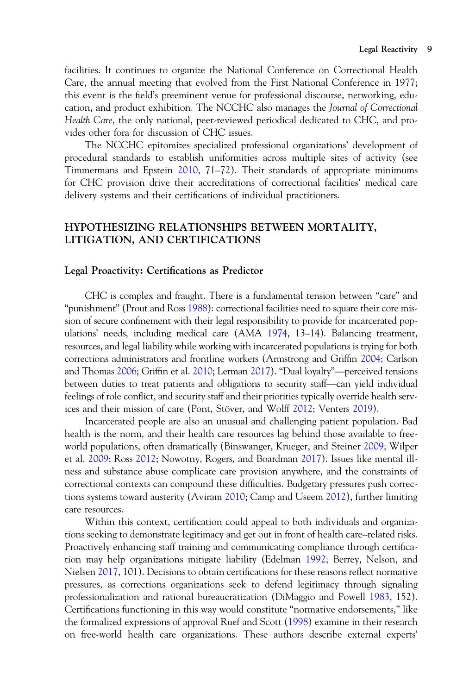facilities. It continues to organize the National Conference on Correctional Health Care, the annual meeting that evolved from the First National Conference in 1977; this event is the field's preeminent venue for professional discourse, networking, education, and product exhibition. The NCCHC also manages the Journal of Correctional Health Care, the only national, peer-reviewed periodical dedicated to CHC, and provides other fora for discussion of CHC issues.

The NCCHC epitomizes specialized professional organizations' development of procedural standards to establish uniformities across multiple sites of activity (see Timmermans and Epstein [2010](#page-31-0), 71–72). Their standards of appropriate minimums for CHC provision drive their accreditations of correctional facilities' medical care delivery systems and their certifications of individual practitioners.

# HYPOTHESIZING RELATIONSHIPS BETWEEN MORTALITY, LITIGATION, AND CERTIFICATIONS

## Legal Proactivity: Certifications as Predictor

CHC is complex and fraught. There is a fundamental tension between "care" and "punishment" (Prout and Ross [1988](#page-30-0)): correctional facilities need to square their core mission of secure confinement with their legal responsibility to provide for incarcerated pop-ulations' needs, including medical care (AMA [1974,](#page-27-0) 13–14). Balancing treatment, resources, and legal liability while working with incarcerated populations is trying for both corrections administrators and frontline workers resources, and legal liability while working with incarcerated populations is trying for both corrections administrators and frontline workers (Armstrong and Griffin [2004;](#page-28-0) Carlson and Thomas 2006; Griffin et al. 2010; Lerman 2017). "Dual loyalty"—perceived tensions between duties to treat patients and obligations to security staff—can yield individual feelings of role conflict, and security staff and their priorities typically override health services and their mission of care (Pont, Stöver, and Wolff [2012](#page-30-0); Venters [2019](#page-31-0)).

Incarcerated people are also an unusual and challenging patient population. Bad health is the norm, and their health care resources lag behind those available to freeworld populations, often dramatically (Binswanger, Krueger, and Steiner [2009;](#page-28-0) Wilper et al. [2009;](#page-31-0) Ross [2012;](#page-30-0) Nowotny, Rogers, and Boardman [2017](#page-30-0)). Issues like mental illness and substance abuse complicate care provision anywhere, and the constraints of correctional contexts can compound these difficulties. Budgetary pressures push corrections systems toward austerity (Aviram [2010](#page-28-0); Camp and Useem [2012\)](#page-28-0), further limiting care resources.

Within this context, certification could appeal to both individuals and organizations seeking to demonstrate legitimacy and get out in front of health care–related risks. Proactively enhancing staff training and communicating compliance through certification may help organizations mitigate liability (Edelman [1992;](#page-28-0) Berrey, Nelson, and Nielsen [2017](#page-28-0), 101). Decisions to obtain certifications for these reasons reflect normative pressures, as corrections organizations seek to defend legitimacy through signaling professionalization and rational bureaucratization (DiMaggio and Powell [1983,](#page-28-0) 152). Certifications functioning in this way would constitute "normative endorsements," like the formalized expressions of approval Ruef and Scott ([1998\)](#page-30-0) examine in their research on free-world health care organizations. These authors describe external experts'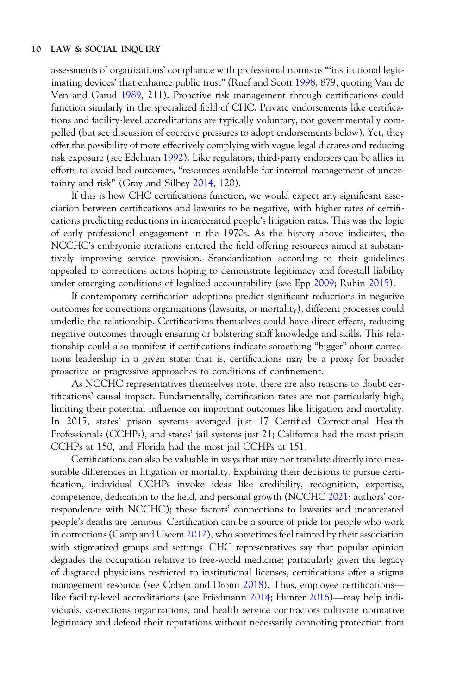assessments of organizations' compliance with professional norms as "'institutional legitimating devices' that enhance public trust" (Ruef and Scott [1998,](#page-30-0) 879, quoting Van de Ven and Garud [1989](#page-31-0), 211). Proactive risk management through certifications could function similarly in the specialized field of CHC. Private endorsements like certifications and facility-level accreditations are typically voluntary, not governmentally compelled (but see discussion of coercive pressures to adopt endorsements below). Yet, they offer the possibility of more effectively complying with vague legal dictates and reducing risk exposure (see Edelman [1992](#page-28-0)). Like regulators, third-party endorsers can be allies in efforts to avoid bad outcomes, "resources available for internal management of uncertainty and risk" (Gray and Silbey [2014](#page-29-0), 120).

If this is how CHC certifications function, we would expect any significant association between certifications and lawsuits to be negative, with higher rates of certifications predicting reductions in incarcerated people's litigation rates. This was the logic of early professional engagement in the 1970s. As the history above indicates, the NCCHC's embryonic iterations entered the field offering resources aimed at substantively improving service provision. Standardization according to their guidelines appealed to corrections actors hoping to demonstrate legitimacy and forestall liability under emerging conditions of legalized accountability (see Epp [2009](#page-28-0); Rubin [2015](#page-30-0)).

If contemporary certification adoptions predict significant reductions in negative outcomes for corrections organizations (lawsuits, or mortality), different processes could underlie the relationship. Certifications themselves could have direct effects, reducing negative outcomes through ensuring or bolstering staff knowledge and skills. This relationship could also manifest if certifications indicate something "bigger" about corrections leadership in a given state; that is, certifications may be a proxy for broader proactive or progressive approaches to conditions of confinement.

As NCCHC representatives themselves note, there are also reasons to doubt certifications' causal impact. Fundamentally, certification rates are not particularly high, limiting their potential influence on important outcomes like litigation and mortality. In 2015, states' prison systems averaged just 17 Certified Correctional Health Professionals (CCHPs), and states' jail systems just 21; California had the most prison CCHPs at 150, and Florida had the most jail CCHPs at 151.

Certifications can also be valuable in ways that may not translate directly into measurable differences in litigation or mortality. Explaining their decisions to pursue certification, individual CCHPs invoke ideas like credibility, recognition, expertise, competence, dedication to the field, and personal growth (NCCHC [2021](#page-30-0); authors' correspondence with NCCHC); these factors' connections to lawsuits and incarcerated people's deaths are tenuous. Certification can be a source of pride for people who work in corrections (Camp and Useem [2012](#page-28-0)), who sometimes feel tainted by their association m estreement (camp and settings. CHC representatives say that popular opinion<br>degrades the occupation relative to free-world medicine; particularly given the legacy<br>of disgraced physicians restricted to institutional licen degrades the occupation relative to free-world medicine; particularly given the legacy<br>of disgraced physicians restricted to institutional licenses, certifications offer a stigma<br>management resource (see Cohen and Dromi 20 of disgraced physicians restricted to institutional licenses, certifications offer a stigma viduals, corrections organizations, and health service contractors cultivate normative legitimacy and defend their reputations without necessarily connoting protection from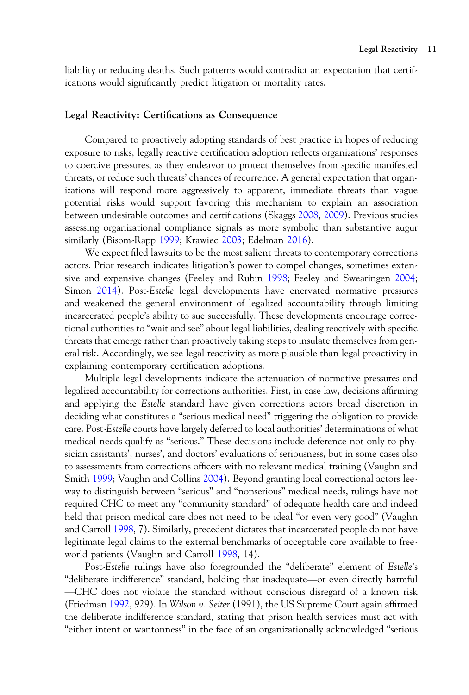liability or reducing deaths. Such patterns would contradict an expectation that certifications would significantly predict litigation or mortality rates.

## Legal Reactivity: Certifications as Consequence

Compared to proactively adopting standards of best practice in hopes of reducing exposure to risks, legally reactive certification adoption reflects organizations' responses to coercive pressures, as they endeavor to protect themselves from specific manifested threats, or reduce such threats' chances of recurrence. A general expectation that organizations will respond more aggressively to apparent, immediate threats than vague potential risks would support favoring this mechanism to explain an association between undesirable outcomes and certifications (Skaggs [2008](#page-31-0), [2009\)](#page-31-0). Previous studies assessing organizational compliance signals as more symbolic than substantive augur similarly (Bisom-Rapp [1999](#page-28-0); Krawiec [2003;](#page-29-0) Edelman [2016\)](#page-28-0).

We expect filed lawsuits to be the most salient threats to contemporary corrections actors. Prior research indicates litigation's power to compel changes, sometimes extensive and expensive changes (Feeley and Rubin [1998;](#page-29-0) Feeley and Swearingen [2004](#page-29-0); Simon [2014](#page-31-0)). Post-Estelle legal developments have enervated normative pressures and weakened the general environment of legalized accountability through limiting incarcerated people's ability to sue successfully. These developments encourage correctional authorities to "wait and see" about legal liabilities, dealing reactively with specific threats that emerge rather than proactively taking steps to insulate themselves from general risk. Accordingly, we see legal reactivity as more plausible than legal proactivity in explaining contemporary certification adoptions.

Multiple legal developments indicate the attenuation of normative pressures and legalized accountability for corrections authorities. First, in case law, decisions affirming and applying the Estelle standard have given corrections actors broad discretion in deciding what constitutes a "serious medical need" triggering the obligation to provide care. Post-Estelle courts have largely deferred to local authorities' determinations of what medical needs qualify as "serious." These decisions include deference not only to physician assistants', nurses', and doctors' evaluations of seriousness, but in some cases also to assessments from corrections officers with no relevant medical training (Vaughn and Smith [1999;](#page-31-0) Vaughn and Collins [2004\)](#page-31-0). Beyond granting local correctional actors leeway to distinguish between "serious" and "nonserious" medical needs, rulings have not required CHC to meet any "community standard" of adequate health care and indeed held that prison medical care does not need to be ideal "or even very good" (Vaughn and Carroll [1998](#page-31-0), 7). Similarly, precedent dictates that incarcerated people do not have legitimate legal claims to the external benchmarks of acceptable care available to free-<br>world patients (Vaughn and Carroll 1998, 14).<br>"Sost-Estelle rulings have also foregrounded the "deliberate" element of Estelle's<br>"del world patients (Vaughn and Carroll [1998](#page-31-0), 14). —

Post-Estelle rulings have also foregrounded the "deliberate" element of Estelle's CHC does not violate the standard without conscious disregard of a known risk (Friedman [1992](#page-29-0), 929). In Wilson v. Seiter (1991), the US Supreme Court again affirmed the deliberate indifference standard, stating that prison health services must act with "either intent or wantonness" in the face of an organizationally acknowledged "serious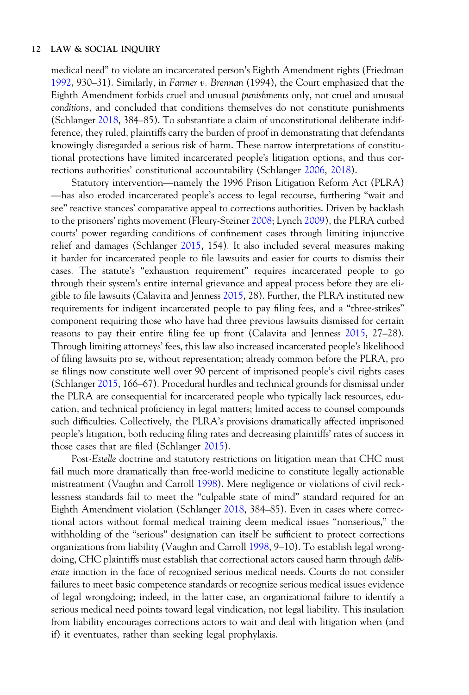medical need" to violate an incarcerated person's Eighth Amendment rights (Friedman [1992,](#page-29-0) 930–31). Similarly, in Farmer v. Brennan (1994), the Court emphasized that the Eighth Amendment forbids cruel and unusual punishments only, not cruel and unusual conditions, and concluded that conditions themselves do not constitute punishments (Schlanger [2018,](#page-30-0) 384–85). To substantiate a claim of unconstitutional deliberate indifference, they ruled, plaintiffs carry the burden of proof in demonstrating that defendants knowingly disregarded a serious risk of harm. These narrow interpretations of constitutional protections have limited incarcerated people's litigation options, and thus corrections authorities' constitutional accountability (Schlanger [2006,](#page-30-0) [2018\)](#page-30-0). Figures are process and process in demonstrating that accommingly disregarded a serious risk of harm. These narrow interpretations of constitu-<br>I protections have limited incarcerated people's litigation options, and thus ——<br>tio

has also eroded incarcerated people's access to legal recourse, furthering "wait and see" reactive stances' comparative appeal to corrections authorities. Driven by backlash to the prisoners' rights movement (Fleury-Steiner [2008;](#page-29-0) Lynch [2009\)](#page-29-0), the PLRA curbed courts' power regarding conditions of confinement cases through limiting injunctive relief and damages (Schlanger [2015](#page-30-0), 154). It also included several measures making it harder for incarcerated people to file lawsuits and easier for courts to dismiss their cases. The statute's "exhaustion requirement" requires incarcerated people to go through their system's entire internal grievance and appeal process before they are eligible to file lawsuits (Calavita and Jenness [2015](#page-28-0), 28). Further, the PLRA instituted new requirements for indigent incarcerated people to pay filing fees, and a "three-strikes" component requiring those who have had three previous lawsuits dismissed for certain reasons to pay their entire filing fee up front (Calavita and Jenness [2015,](#page-28-0) 27–28). Through limiting attorneys' fees, this law also increased incarcerated people's likelihood of filing lawsuits pro se, without representation; already common before the PLRA, pro se filings now constitute well over 90 percent of imprisoned people's civil rights cases (Schlanger [2015](#page-30-0), 166–67). Procedural hurdles and technical grounds for dismissal under the PLRA are consequential for incarcerated people who typically lack resources, education, and technical proficiency in legal matters; limited access to counsel compounds such difficulties. Collectively, the PLRA's provisions dramatically affected imprisoned people's litigation, both reducing filing rates and decreasing plaintiffs' rates of success in those cases that are filed (Schlanger [2015](#page-30-0)).

Post-Estelle doctrine and statutory restrictions on litigation mean that CHC must fail much more dramatically than free-world medicine to constitute legally actionable mistreatment (Vaughn and Carroll [1998](#page-31-0)). Mere negligence or violations of civil recklessness standards fail to meet the "culpable state of mind" standard required for an Eighth Amendment violation (Schlanger [2018](#page-30-0), 384–85). Even in cases where correctional actors without formal medical training deem medical issues "nonserious," the withholding of the "serious" designation can itself be sufficient to protect corrections organizations from liability (Vaughn and Carroll [1998,](#page-31-0) 9–10). To establish legal wrongdoing, CHC plaintiffs must establish that correctional actors caused harm through *delib*erate inaction in the face of recognized serious medical needs. Courts do not consider failures to meet basic competence standards or recognize serious medical issues evidence of legal wrongdoing; indeed, in the latter case, an organizational failure to identify a serious medical need points toward legal vindication, not legal liability. This insulation from liability encourages corrections actors to wait and deal with litigation when (and if) it eventuates, rather than seeking legal prophylaxis.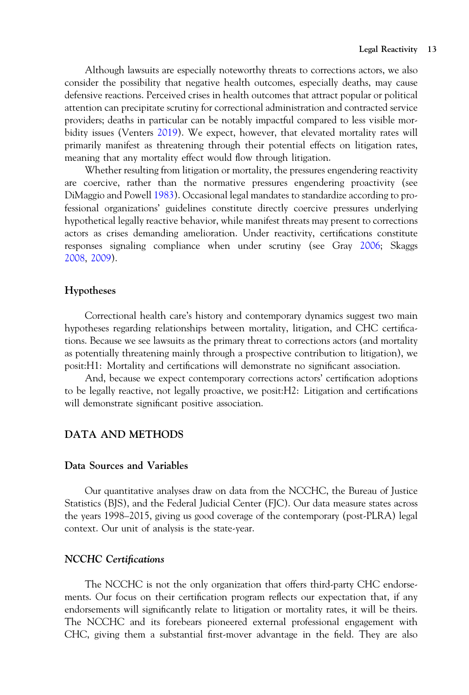Although lawsuits are especially noteworthy threats to corrections actors, we also consider the possibility that negative health outcomes, especially deaths, may cause defensive reactions. Perceived crises in health outcomes that attract popular or political attention can precipitate scrutiny for correctional administration and contracted service providers; deaths in particular can be notably impactful compared to less visible morbidity issues (Venters [2019](#page-31-0)). We expect, however, that elevated mortality rates will primarily manifest as threatening through their potential effects on litigation rates, meaning that any mortality effect would flow through litigation.

Whether resulting from litigation or mortality, the pressures engendering reactivity are coercive, rather than the normative pressures engendering proactivity (see DiMaggio and Powell [1983](#page-28-0)). Occasional legal mandates to standardize according to professional organizations' guidelines constitute directly coercive pressures underlying hypothetical legally reactive behavior, while manifest threats may present to corrections actors as crises demanding amelioration. Under reactivity, certifications constitute responses signaling compliance when under scrutiny (see Gray [2006](#page-29-0); Skaggs [2008,](#page-31-0) [2009](#page-31-0)).

## Hypotheses

Correctional health care's history and contemporary dynamics suggest two main hypotheses regarding relationships between mortality, litigation, and CHC certifications. Because we see lawsuits as the primary threat to corrections actors (and mortality as potentially threatening mainly through a prospective contribution to litigation), we posit:H1: Mortality and certifications will demonstrate no significant association.

And, because we expect contemporary corrections actors' certification adoptions to be legally reactive, not legally proactive, we posit:H2: Litigation and certifications will demonstrate significant positive association.

## DATA AND METHODS

## Data Sources and Variables

Our quantitative analyses draw on data from the NCCHC, the Bureau of Justice Statistics (BJS), and the Federal Judicial Center (FJC). Our data measure states across the years 1998–2015, giving us good coverage of the contemporary (post-PLRA) legal context. Our unit of analysis is the state-year.

## NCCHC Certifications

The NCCHC is not the only organization that offers third-party CHC endorsements. Our focus on their certification program reflects our expectation that, if any endorsements will significantly relate to litigation or mortality rates, it will be theirs. The NCCHC and its forebears pioneered external professional engagement with CHC, giving them a substantial first-mover advantage in the field. They are also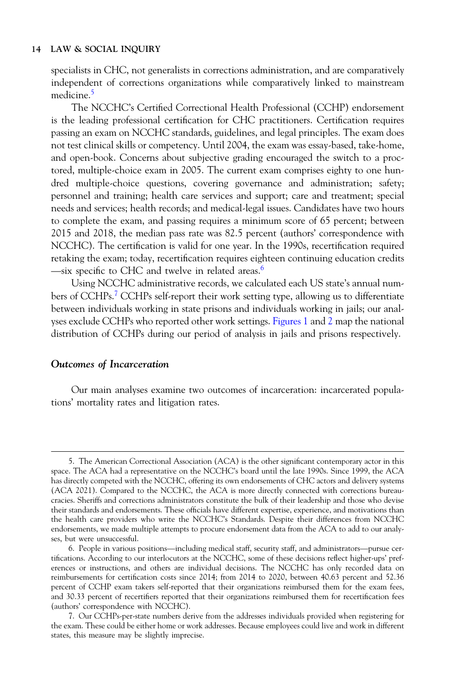specialists in CHC, not generalists in corrections administration, and are comparatively independent of corrections organizations while comparatively linked to mainstream medicine.<sup>5</sup>

The NCCHC's Certified Correctional Health Professional (CCHP) endorsement is the leading professional certification for CHC practitioners. Certification requires passing an exam on NCCHC standards, guidelines, and legal principles. The exam does not test clinical skills or competency. Until 2004, the exam was essay-based, take-home, and open-book. Concerns about subjective grading encouraged the switch to a proctored, multiple-choice exam in 2005. The current exam comprises eighty to one hundred multiple-choice questions, covering governance and administration; safety; personnel and training; health care services and support; care and treatment; special needs and services; health records; and medical-legal issues. Candidates have two hours to complete the exam, and passing requires a minimum score of 65 percent; between 2015 and 2018, the median pass rate was 82.5 percent (authors' correspondence with —NCCHC). The certification is valid for one year. In the 1990s, recertification required retaking the exam; today, recertification requires eighteen continuing education credits -six specific to CHC and twelve in related areas.<sup>6</sup>

Using NCCHC administrative records, we calculated each US state's annual numbers of CCHPs.<sup>7</sup> CCHPs self-report their work setting type, allowing us to differentiate between individuals working in state prisons and individuals working in jails; our analyses exclude CCHPs who reported other work settings. [Figures 1](#page-14-0) and [2](#page-14-0) map the national distribution of CCHPs during our period of analysis in jails and prisons respectively.

## Outcomes of Incarceration

Our main analyses examine two outcomes of incarceration: incarcerated populations' mortality rates and litigation rates.

<sup>5.</sup> The American Correctional Association (ACA) is the other significant contemporary actor in this space. The ACA had a representative on the NCCHC's board until the late 1990s. Since 1999, the ACA has directly competed with the NCCHC, offering its own endorsements of CHC actors and delivery systems (ACA 2021). Compared to the NCCHC, the ACA is more directly connected with corrections bureaucracies. Sheriffs and corrections administrators constitute the bulk of their leadership and those who devise their standards and endorsements. These officials have different expertise, experience, and motivations than the health care providers who write the NCCHC's Standards. Despite their differences from NCCHC endorsements, we made multiple attempts to procure endorsement data from the ACA to add to our analyses, but were unsuccessful endorsements, we made multiple attempts to procure endorsement data from the ACA to add to our analyses, but were unsuccessful.

tifications. According to our interlocutors at the NCCHC, some of these decisions reflect higher-ups' preferences or instructions, and others are individual decisions. The NCCHC has only recorded data on reimbursements for certification costs since 2014; from 2014 to 2020, between 40.63 percent and 52.36 percent of CCHP exam takers self-reported that their organizations reimbursed them for the exam fees, and 30.33 percent of recertifiers reported that their organizations reimbursed them for recertification fees (authors' correspondence with NCCHC).

<sup>7.</sup> Our CCHPs-per-state numbers derive from the addresses individuals provided when registering for the exam. These could be either home or work addresses. Because employees could live and work in different states, this measure may be slightly imprecise.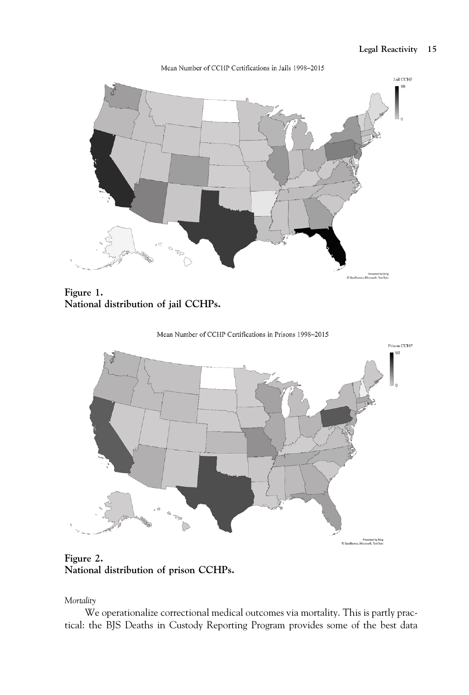## Legal Reactivity 15

<span id="page-14-0"></span>

Mean Number of CCHP Certifications in Jails 1998-2015

Figure 1. National distribution of jail CCHPs.





Figure 2. National distribution of prison CCHPs.

Mortality

We operationalize correctional medical outcomes via mortality. This is partly practical: the BJS Deaths in Custody Reporting Program provides some of the best data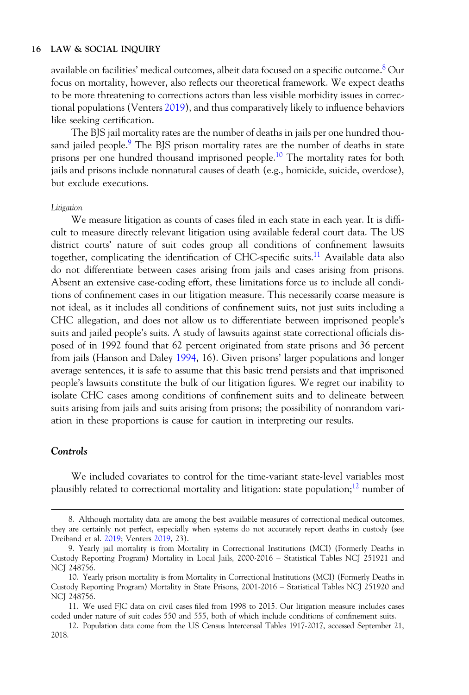available on facilities' medical outcomes, albeit data focused on a specific outcome.<sup>8</sup> Our focus on mortality, however, also reflects our theoretical framework. We expect deaths to be more threatening to corrections actors than less visible morbidity issues in correctional populations (Venters [2019\)](#page-31-0), and thus comparatively likely to influence behaviors like seeking certification.

The BJS jail mortality rates are the number of deaths in jails per one hundred thousand jailed people.<sup>9</sup> The BIS prison mortality rates are the number of deaths in state prisons per one hundred thousand imprisoned people.<sup>10</sup> The mortality rates for both jails and prisons include nonnatural causes of death (e.g., homicide, suicide, overdose), but exclude executions.

#### Litigation

We measure litigation as counts of cases filed in each state in each year. It is difficult to measure directly relevant litigation using available federal court data. The US district courts' nature of suit codes group all conditions of confinement lawsuits together, complicating the identification of CHC-specific suits.<sup>11</sup> Available data also do not differentiate between cases arising from jails and cases arising from prisons. Absent an extensive case-coding effort, these limitations force us to include all conditions of confinement cases in our litigation measure. This necessarily coarse measure is not ideal, as it includes all conditions of confinement suits, not just suits including a CHC allegation, and does not allow us to differentiate between imprisoned people's suits and jailed people's suits. A study of lawsuits against state correctional officials disposed of in 1992 found that 62 percent originated from state prisons and 36 percent from jails (Hanson and Daley [1994](#page-29-0), 16). Given prisons' larger populations and longer average sentences, it is safe to assume that this basic trend persists and that imprisoned people's lawsuits constitute the bulk of our litigation figures. We regret our inability to isolate CHC cases among conditions of confinement suits and to delineate between suits arising from jails and suits arising from prisons; the possibility of nonrandom variation in these proportions is cause for caution in interpreting our results.

## Controls

We included covariates to control for the time-variant state-level variables most plausibly related to correctional mortality and litigation: state population; $^{12}$  number of

<sup>8.</sup> Although mortality data are among the best available measures of correctional medical outcomes, they are certainly not perfect, especially when systems do not accurately report deaths in custody (see Dreiband et al. [2019](#page-28-0); Venters [2019,](#page-31-0) 23).

<sup>9.</sup> Yearly jail mortality is from Mortality in Correctional Institutions (MCI) (Formerly Deaths in Custody Reporting Program) Mortality in Local Jails, 2000-2016 – Statistical Tables NCJ 251921 and NCJ 248756.

<sup>10.</sup> Yearly prison mortality is from Mortality in Correctional Institutions (MCI) (Formerly Deaths in Custody Reporting Program) Mortality in State Prisons, 2001-2016 – Statistical Tables NCJ 251920 and NCJ 248756.

<sup>11.</sup> We used FJC data on civil cases filed from 1998 to 2015. Our litigation measure includes cases coded under nature of suit codes 550 and 555, both of which include conditions of confinement suits.

<sup>12.</sup> Population data come from the US Census Intercensal Tables 1917-2017, accessed September 21, 2018.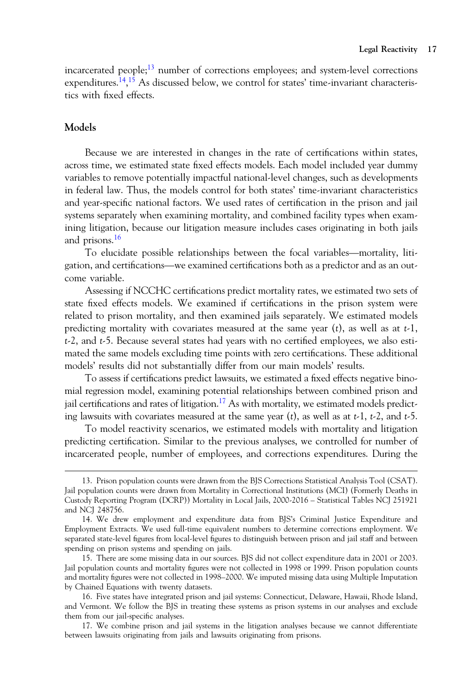incarcerated people; $13$  number of corrections employees; and system-level corrections expenditures.<sup>14</sup>,<sup>15</sup> As discussed below, we control for states' time-invariant characteristics with fixed effects.

## Models

Because we are interested in changes in the rate of certifications within states, across time, we estimated state fixed effects models. Each model included year dummy variables to remove potentially impactful national-level changes, such as developments in federal law. Thus, the models control for both states' time-invariant characteristics and year-specific national factors. We used rates of certification in the prison and jail systems separately when examining mortality, and combined facility types when examining litigation, because our litigation measure includes cases originating in both jails and prisons.16 To elucidate possible relationships between the focal variables—mortality, liti-<br>To elucidate possible relationships between the focal variables—mortality, liti-<br>To elucidate possible relationships between the focal variab gating litigation, because our litigation measure includes cases originating in both jails<br>and prisons.<sup>16</sup><br>To elucidate possible relationships between the focal variables—mortality, litigation, and certifications—we exami

come variable.

Assessing if NCCHC certifications predict mortality rates, we estimated two sets of state fixed effects models. We examined if certifications in the prison system were related to prison mortality, and then examined jails separately. We estimated models predicting mortality with covariates measured at the same year  $(t)$ , as well as at  $t-1$ ,  $t-2$ , and  $t-5$ . Because several states had years with no certified employees, we also estimated the same models excluding time points with zero certifications. These additional models' results did not substantially differ from our main models' results.

To assess if certifications predict lawsuits, we estimated a fixed effects negative binomial regression model, examining potential relationships between combined prison and jail certifications and rates of litigation.<sup>17</sup> As with mortality, we estimated models predicting lawsuits with covariates measured at the same year (t), as well as at  $t-1$ ,  $t-2$ , and  $t-5$ .

To model reactivity scenarios, we estimated models with mortality and litigation predicting certification. Similar to the previous analyses, we controlled for number of incarcerated people, number of employees, and corrections expenditures. During the

<sup>13.</sup> Prison population counts were drawn from the BJS Corrections Statistical Analysis Tool (CSAT). Jail population counts were drawn from Mortality in Correctional Institutions (MCI) (Formerly Deaths in Custody Reporting Program (DCRP)) Mortality in Local Jails, 2000-2016 – Statistical Tables NCJ 251921 and NCJ 248756.

<sup>14.</sup> We drew employment and expenditure data from BJS's Criminal Justice Expenditure and Employment Extracts. We used full-time equivalent numbers to determine corrections employment. We separated state-level figures from local-level figures to distinguish between prison and jail staff and between spending on prison systems and spending on jails.

<sup>15.</sup> There are some missing data in our sources. BJS did not collect expenditure data in 2001 or 2003. Jail population counts and mortality figures were not collected in 1998 or 1999. Prison population counts and mortality figures were not collected in 1998–2000. We imputed missing data using Multiple Imputation by Chained Equations with twenty datasets.

<sup>16.</sup> Five states have integrated prison and jail systems: Connecticut, Delaware, Hawaii, Rhode Island, and Vermont. We follow the BJS in treating these systems as prison systems in our analyses and exclude them from our jail-specific analyses.

<sup>17.</sup> We combine prison and jail systems in the litigation analyses because we cannot differentiate between lawsuits originating from jails and lawsuits originating from prisons.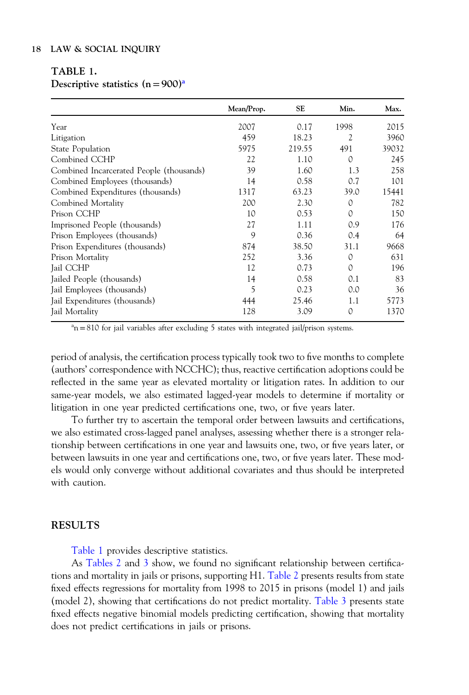# TABLE 1.

# Descriptive statistics  $(n=900)^{a}$

|                                          | Mean/Prop. | <b>SE</b> | Min.     | Max.  |
|------------------------------------------|------------|-----------|----------|-------|
| Year                                     | 2007       | 0.17      | 1998     | 2015  |
| Litigation                               | 459        | 18.23     | 2        | 3960  |
| State Population                         | 5975       | 219.55    | 491      | 39032 |
| Combined CCHP                            | 22         | 1.10      | 0        | 245   |
| Combined Incarcerated People (thousands) | 39         | 1.60      | 1.3      | 258   |
| Combined Employees (thousands)           | 14         | 0.58      | 0.7      | 101   |
| Combined Expenditures (thousands)        | 1317       | 63.23     | 39.0     | 15441 |
| Combined Mortality                       | 200        | 2.30      | 0        | 782   |
| Prison CCHP                              | 10         | 0.53      | $\Omega$ | 150   |
| Imprisoned People (thousands)            | 27         | 1.11      | 0.9      | 176   |
| Prison Employees (thousands)             | 9          | 0.36      | 0.4      | 64    |
| Prison Expenditures (thousands)          | 874        | 38.50     | 31.1     | 9668  |
| Prison Mortality                         | 252        | 3.36      | 0        | 631   |
| Jail CCHP                                | 12         | 0.73      | $\Omega$ | 196   |
| Jailed People (thousands)                | 14         | 0.58      | 0.1      | 83    |
| Jail Employees (thousands)               | 5          | 0.23      | 0.0      | 36    |
| Jail Expenditures (thousands)            | 444        | 25.46     | 1.1      | 5773  |
| Jail Mortality                           | 128        | 3.09      | 0        | 1370  |

 $a_n = 810$  for jail variables after excluding 5 states with integrated jail/prison systems.

period of analysis, the certification process typically took two to five months to complete (authors' correspondence with NCCHC); thus, reactive certification adoptions could be reflected in the same year as elevated mortality or litigation rates. In addition to our same-year models, we also estimated lagged-year models to determine if mortality or litigation in one year predicted certifications one, two, or five years later.

To further try to ascertain the temporal order between lawsuits and certifications, we also estimated cross-lagged panel analyses, assessing whether there is a stronger relationship between certifications in one year and lawsuits one, two, or five years later, or between lawsuits in one year and certifications one, two, or five years later. These models would only converge without additional covariates and thus should be interpreted with caution.

## RESULTS

Table 1 provides descriptive statistics.

As [Tables 2](#page-18-0) and [3](#page-19-0) show, we found no significant relationship between certifications and mortality in jails or prisons, supporting H1. [Table 2](#page-18-0) presents results from state fixed effects regressions for mortality from 1998 to 2015 in prisons (model 1) and jails (model 2), showing that certifications do not predict mortality. [Table 3](#page-19-0) presents state fixed effects negative binomial models predicting certification, showing that mortality does not predict certifications in jails or prisons.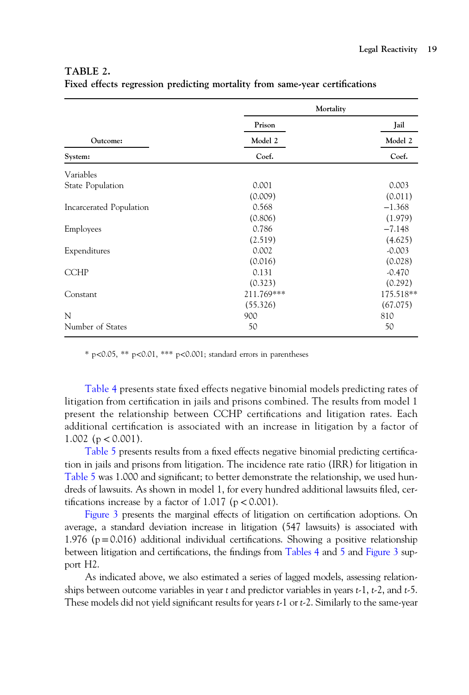# <span id="page-18-0"></span>TABLE 2.

|                         | Mortality  |           |
|-------------------------|------------|-----------|
|                         | Prison     | Jail      |
| Outcome:                | Model 2    | Model 2   |
| System:                 | Coef.      | Coef.     |
| Variables               |            |           |
| State Population        | 0.001      | 0.003     |
|                         | (0.009)    | (0.011)   |
| Incarcerated Population | 0.568      | $-1.368$  |
|                         | (0.806)    | (1.979)   |
| Employees               | 0.786      | $-7.148$  |
|                         | (2.519)    | (4.625)   |
| Expenditures            | 0.002      | $-0.003$  |
|                         | (0.016)    | (0.028)   |
| <b>CCHP</b>             | 0.131      | $-0.470$  |
|                         | (0.323)    | (0.292)   |
| Constant                | 211.769*** | 175.518** |
|                         | (55.326)   | (67.075)  |
| N                       | 900        | 810       |
| Number of States        | 50         | 50        |

Fixed effects regression predicting mortality from same-year certifications

 $*$  p<0.05,  $**$  p<0.01,  $***$  p<0.001; standard errors in parentheses

[Table 4](#page-20-0) presents state fixed effects negative binomial models predicting rates of litigation from certification in jails and prisons combined. The results from model 1 present the relationship between CCHP certifications and litigation rates. Each additional certification is associated with an increase in litigation by a factor of 1.002 ( $p < 0.001$ ).

[Table 5](#page-21-0) presents results from a fixed effects negative binomial predicting certification in jails and prisons from litigation. The incidence rate ratio (IRR) for litigation in [Table 5](#page-21-0) was 1.000 and significant; to better demonstrate the relationship, we used hundreds of lawsuits. As shown in model 1, for every hundred additional lawsuits filed, certifications increase by a factor of 1.017 ( $p < 0.001$ ).

[Figure 3](#page-21-0) presents the marginal effects of litigation on certification adoptions. On average, a standard deviation increase in litigation (547 lawsuits) is associated with 1.976 ( $p = 0.016$ ) additional individual certifications. Showing a positive relationship between litigation and certifications, the findings from [Tables 4](#page-20-0) and [5](#page-21-0) and [Figure 3](#page-21-0) support H2.

As indicated above, we also estimated a series of lagged models, assessing relationships between outcome variables in year t and predictor variables in years  $t-1$ ,  $t-2$ , and  $t-5$ . These models did not yield significant results for years t-1 or t-2. Similarly to the same-year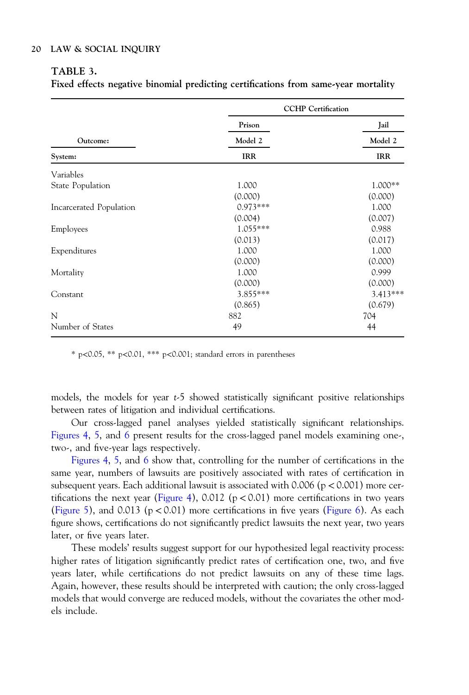# <span id="page-19-0"></span>TABLE 3.

Fixed effects negative binomial predicting certifications from same-year mortality

|                         | <b>CCHP</b> Certification |            |
|-------------------------|---------------------------|------------|
|                         | Prison                    | Jail       |
| Outcome:                | Model 2                   | Model 2    |
| System:                 | IRR                       | <b>IRR</b> |
| Variables               |                           |            |
| State Population        | 1.000                     | 1.000**    |
|                         | (0.000)                   | (0.000)    |
| Incarcerated Population | $0.973***$                | 1.000      |
|                         | (0.004)                   | (0.007)    |
| Employees               | 1.055***                  | 0.988      |
|                         | (0.013)                   | (0.017)    |
| Expenditures            | 1.000                     | 1.000      |
|                         | (0.000)                   | (0.000)    |
| Mortality               | 1.000                     | 0.999      |
|                         | (0.000)                   | (0.000)    |
| Constant                | 3.855***                  | 3.413***   |
|                         | (0.865)                   | (0.679)    |
| N                       | 882                       | 704        |
| Number of States        | 49                        | 44         |

\* p<0.05, \*\* p<0.01, \*\*\* p<0.001; standard errors in parentheses

models, the models for year t-5 showed statistically significant positive relationships between rates of litigation and individual certifications.

Our cross-lagged panel analyses yielded statistically significant relationships. [Figures 4](#page-22-0), [5](#page-22-0), and [6](#page-22-0) present results for the cross-lagged panel models examining one-, two-, and five-year lags respectively.

[Figures 4](#page-22-0), [5](#page-22-0), and [6](#page-22-0) show that, controlling for the number of certifications in the same year, numbers of lawsuits are positively associated with rates of certification in subsequent years. Each additional lawsuit is associated with  $0.006$  (p  $< 0.001$ ) more cer-tifications the next year ([Figure 4\)](#page-22-0), 0.012 ( $p < 0.01$ ) more certifications in two years [\(Figure 5](#page-22-0)), and 0.013 ( $p < 0.01$ ) more certifications in five years ([Figure 6\)](#page-22-0). As each figure shows, certifications do not significantly predict lawsuits the next year, two years later, or five years later.

These models' results suggest support for our hypothesized legal reactivity process: higher rates of litigation significantly predict rates of certification one, two, and five years later, while certifications do not predict lawsuits on any of these time lags. Again, however, these results should be interpreted with caution; the only cross-lagged models that would converge are reduced models, without the covariates the other models include.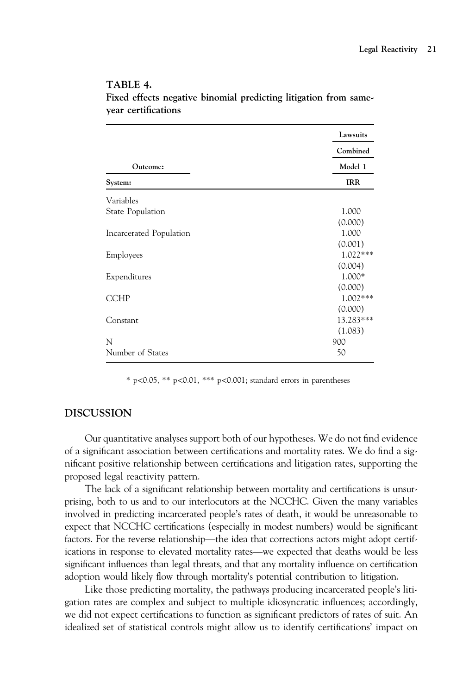|                         | Lawsuits                          |  |
|-------------------------|-----------------------------------|--|
|                         | Combined<br>Model 1<br><b>IRR</b> |  |
| Outcome:                |                                   |  |
| System:                 |                                   |  |
| Variables               |                                   |  |
| <b>State Population</b> | 1.000                             |  |
|                         | (0.000)                           |  |
| Incarcerated Population | 1.000                             |  |
|                         | (0.001)                           |  |
| Employees               | $1.022***$                        |  |
|                         | (0.004)                           |  |
| Expenditures            | 1.000*                            |  |
|                         | (0.000)                           |  |
| <b>CCHP</b>             | $1.002***$                        |  |
|                         | (0.000)                           |  |
| Constant                | 13.283***                         |  |
|                         | (1.083)                           |  |
| N                       | 900                               |  |
| Number of States        | 50                                |  |

# <span id="page-20-0"></span>TABLE 4. Fixed effects negative binomial predicting litigation from sameyear certifications

\* p<0.05, \*\* p<0.01, \*\*\* p<0.001; standard errors in parentheses

# DISCUSSION

Our quantitative analyses support both of our hypotheses. We do not find evidence of a significant association between certifications and mortality rates. We do find a significant positive relationship between certifications and litigation rates, supporting the proposed legal reactivity pattern.

The lack of a significant relationship between mortality and certifications is unsurprising, both to us and to our interlocutors at the NCCHC. Given the many variables<br>involved in predicting incarcerated people's rates of death, it would be unreasonable to<br>expect that NCCHC certifications (especially in m involved in predicting incarcerated people's rates of death, it would be unreasonable to expect that NCCHC certifications (especially in modest numbers) would be significant factors. For the reverse relationship—the idea t expect that NCCHC certifications (especially in modest numbers) would be significant significant influences than legal threats, and that any mortality influence on certification adoption would likely flow through mortality's potential contribution to litigation.

Like those predicting mortality, the pathways producing incarcerated people's litigation rates are complex and subject to multiple idiosyncratic influences; accordingly, we did not expect certifications to function as significant predictors of rates of suit. An idealized set of statistical controls might allow us to identify certifications' impact on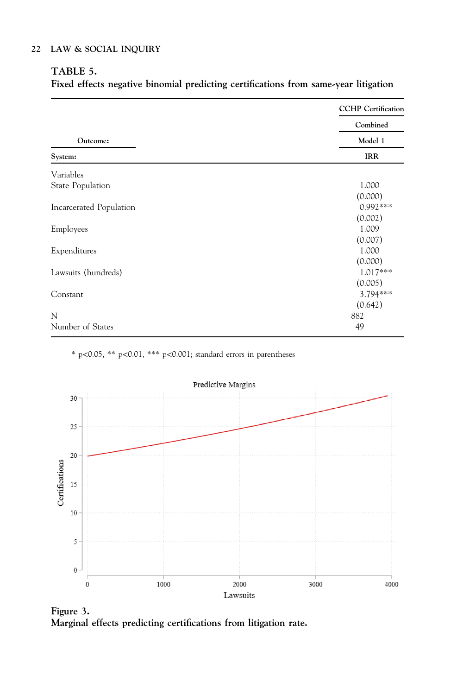# <span id="page-21-0"></span>TABLE 5.

Fixed effects negative binomial predicting certifications from same-year litigation

|                         | <b>CCHP</b> Certification<br>Combined |  |
|-------------------------|---------------------------------------|--|
|                         |                                       |  |
| Outcome:                | Model 1                               |  |
| System:                 | <b>IRR</b>                            |  |
| Variables               |                                       |  |
| State Population        | 1.000                                 |  |
|                         | (0.000)                               |  |
| Incarcerated Population | $0.992***$                            |  |
|                         | (0.002)                               |  |
| Employees               | 1.009                                 |  |
|                         | (0.007)                               |  |
| Expenditures            | 1.000                                 |  |
|                         | (0.000)                               |  |
| Lawsuits (hundreds)     | $1.017***$                            |  |
|                         | (0.005)                               |  |
| Constant                | 3.794***                              |  |
|                         | (0.642)                               |  |
| N                       | 882                                   |  |
| Number of States        | 49                                    |  |

\* p<0.05, \*\* p<0.01, \*\*\* p<0.001; standard errors in parentheses



Figure 3. Marginal effects predicting certifications from litigation rate.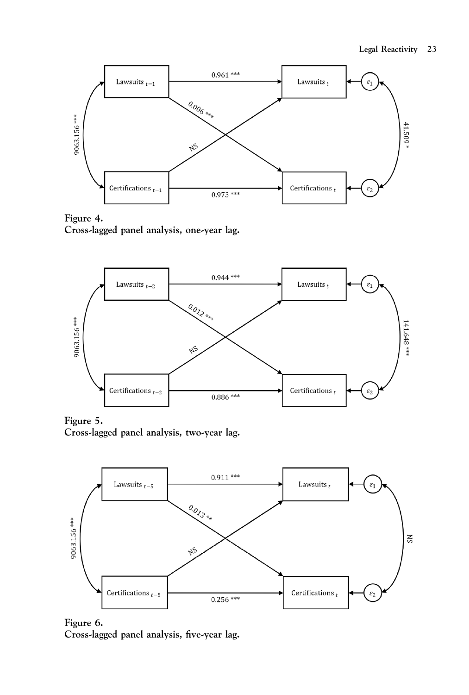<span id="page-22-0"></span>

Figure 4. Cross-lagged panel analysis, one-year lag.



Figure 5. Cross-lagged panel analysis, two-year lag.



Figure 6. Cross-lagged panel analysis, five-year lag.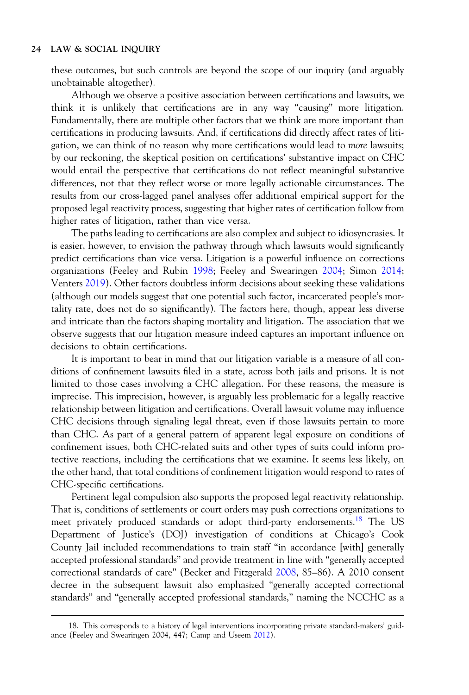these outcomes, but such controls are beyond the scope of our inquiry (and arguably unobtainable altogether).

Although we observe a positive association between certifications and lawsuits, we think it is unlikely that certifications are in any way "causing" more litigation. Fundamentally, there are multiple other factors that we think are more important than certifications in producing lawsuits. And, if certifications did directly affect rates of litigation, we can think of no reason why more certifications would lead to more lawsuits; by our reckoning, the skeptical position on certifications' substantive impact on CHC would entail the perspective that certifications do not reflect meaningful substantive differences, not that they reflect worse or more legally actionable circumstances. The results from our cross-lagged panel analyses offer additional empirical support for the proposed legal reactivity process, suggesting that higher rates of certification follow from higher rates of litigation, rather than vice versa.

The paths leading to certifications are also complex and subject to idiosyncrasies. It is easier, however, to envision the pathway through which lawsuits would significantly predict certifications than vice versa. Litigation is a powerful influence on corrections organizations (Feeley and Rubin [1998;](#page-29-0) Feeley and Swearingen [2004](#page-29-0); Simon [2014](#page-31-0); Venters [2019](#page-31-0)). Other factors doubtless inform decisions about seeking these validations (although our models suggest that one potential such factor, incarcerated people's mortality rate, does not do so significantly). The factors here, though, appear less diverse and intricate than the factors shaping mortality and litigation. The association that we observe suggests that our litigation measure indeed captures an important influence on decisions to obtain certifications.

It is important to bear in mind that our litigation variable is a measure of all conditions of confinement lawsuits filed in a state, across both jails and prisons. It is not limited to those cases involving a CHC allegation. For these reasons, the measure is imprecise. This imprecision, however, is arguably less problematic for a legally reactive relationship between litigation and certifications. Overall lawsuit volume may influence CHC decisions through signaling legal threat, even if those lawsuits pertain to more than CHC. As part of a general pattern of apparent legal exposure on conditions of confinement issues, both CHC-related suits and other types of suits could inform protective reactions, including the certifications that we examine. It seems less likely, on the other hand, that total conditions of confinement litigation would respond to rates of CHC-specific certifications.

Pertinent legal compulsion also supports the proposed legal reactivity relationship. That is, conditions of settlements or court orders may push corrections organizations to meet privately produced standards or adopt third-party endorsements.<sup>18</sup> The US Department of Justice's (DOJ) investigation of conditions at Chicago's Cook County Jail included recommendations to train staff "in accordance [with] generally accepted professional standards" and provide treatment in line with "generally accepted correctional standards of care" (Becker and Fitzgerald [2008,](#page-28-0) 85–86). A 2010 consent decree in the subsequent lawsuit also emphasized "generally accepted correctional standards" and "generally accepted professional standards," naming the NCCHC as a

<sup>18.</sup> This corresponds to a history of legal interventions incorporating private standard-makers' guidance (Feeley and Swearingen 2004, 447; Camp and Useem [2012](#page-28-0)).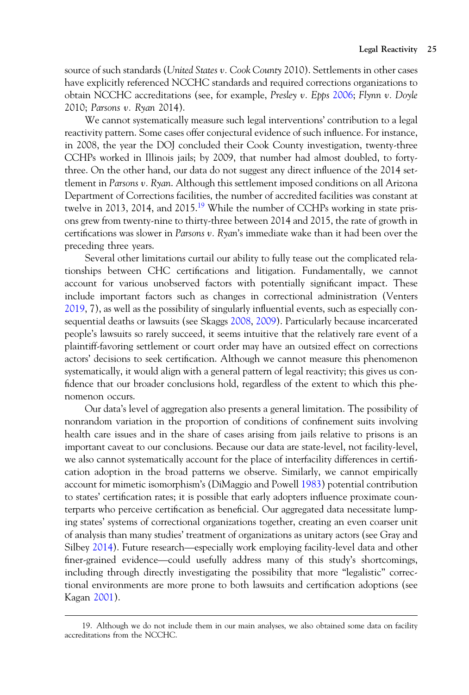source of such standards (United States v. Cook County 2010). Settlements in other cases have explicitly referenced NCCHC standards and required corrections organizations to obtain NCCHC accreditations (see, for example, Presley v. Epps [2006;](#page-28-0) Flynn v. Doyle 2010; Parsons v. Ryan 2014).

We cannot systematically measure such legal interventions' contribution to a legal reactivity pattern. Some cases offer conjectural evidence of such influence. For instance, in 2008, the year the DOJ concluded their Cook County investigation, twenty-three CCHPs worked in Illinois jails; by 2009, that number had almost doubled, to fortythree. On the other hand, our data do not suggest any direct influence of the 2014 settlement in Parsons v. Ryan. Although this settlement imposed conditions on all Arizona Department of Corrections facilities, the number of accredited facilities was constant at twelve in 2013, 2014, and 2015.<sup>19</sup> While the number of CCHPs working in state prisons grew from twenty-nine to thirty-three between 2014 and 2015, the rate of growth in certifications was slower in Parsons v. Ryan's immediate wake than it had been over the preceding three years.

Several other limitations curtail our ability to fully tease out the complicated relationships between CHC certifications and litigation. Fundamentally, we cannot account for various unobserved factors with potentially significant impact. These include important factors such as changes in correctional administration (Venters [2019,](#page-31-0) 7), as well as the possibility of singularly influential events, such as especially consequential deaths or lawsuits (see Skaggs [2008,](#page-31-0) [2009](#page-31-0)). Particularly because incarcerated people's lawsuits so rarely succeed, it seems intuitive that the relatively rare event of a plaintiff-favoring settlement or court order may have an outsized effect on corrections actors' decisions to seek certification. Although we cannot measure this phenomenon systematically, it would align with a general pattern of legal reactivity; this gives us confidence that our broader conclusions hold, regardless of the extent to which this phenomenon occurs.

Our data's level of aggregation also presents a general limitation. The possibility of nonrandom variation in the proportion of conditions of confinement suits involving health care issues and in the share of cases arising from jails relative to prisons is an important caveat to our conclusions. Because our data are state-level, not facility-level, we also cannot systematically account for the place of interfacility differences in certification adoption in the broad patterns we observe. Similarly, we cannot empirically account for mimetic isomorphism's (DiMaggio and Powell [1983](#page-28-0)) potential contribution to states' certification rates; it is possible that early adopters influence proximate counterparts who perceive certification as beneficial. Our aggregated data necessitate lump-<br>ing states' systems of correctional organizations together, creating an even coarser unit<br>of analysis than many studies' treatment of ing states' systems of correctional organizations together, creating an even coarser unit of analysis than many studies' treatment of organizations as unitary actors (see Gray and Silbey 2014). Future research—especially work employing facility-level data and other finer-grained evidence—could usefully address many of this study's shortcomings, including through directly investigating the possibility that more "legalistic" correctional environments are more prone to both lawsuits and certification adoptions (see Kagan [2001](#page-29-0)).

<sup>19.</sup> Although we do not include them in our main analyses, we also obtained some data on facility accreditations from the NCCHC.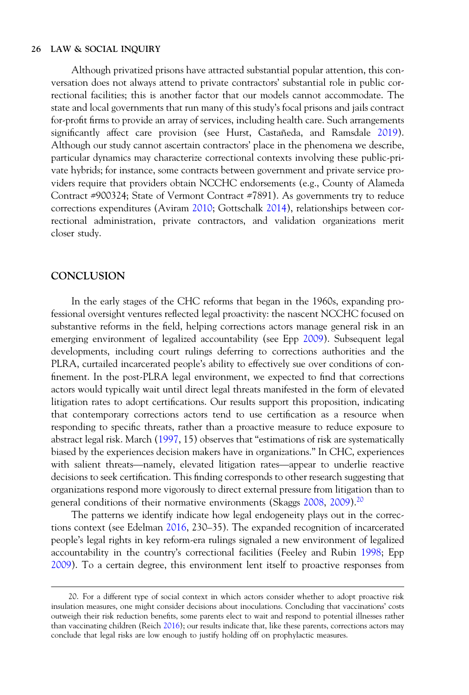Although privatized prisons have attracted substantial popular attention, this conversation does not always attend to private contractors' substantial role in public correctional facilities; this is another factor that our models cannot accommodate. The state and local governments that run many of this study's focal prisons and jails contract for-profit firms to provide an array of services, including health care. Such arrangements significantly affect care provision (see Hurst, Castañeda, and Ramsdale [2019](#page-29-0)). Although our study cannot ascertain contractors' place in the phenomena we describe, particular dynamics may characterize correctional contexts involving these public-private hybrids; for instance, some contracts between government and private service providers require that providers obtain NCCHC endorsements (e.g., County of Alameda Contract #900324; State of Vermont Contract #7891). As governments try to reduce corrections expenditures (Aviram [2010](#page-28-0); Gottschalk [2014](#page-29-0)), relationships between correctional administration, private contractors, and validation organizations merit closer study.

# **CONCLUSION**

In the early stages of the CHC reforms that began in the 1960s, expanding professional oversight ventures reflected legal proactivity: the nascent NCCHC focused on substantive reforms in the field, helping corrections actors manage general risk in an emerging environment of legalized accountability (see Epp [2009](#page-28-0)). Subsequent legal developments, including court rulings deferring to corrections authorities and the PLRA, curtailed incarcerated people's ability to effectively sue over conditions of confinement. In the post-PLRA legal environment, we expected to find that corrections actors would typically wait until direct legal threats manifested in the form of elevated litigation rates to adopt certifications. Our results support this proposition, indicating that contemporary corrections actors tend to use certification as a resource when responding to specific threats, rather than a proactive measure to reduce exposure to abstract legal risk. March [\(1997](#page-30-0), 15) observes that "estimations of risk are systematically biased by the experiences decision makers have in organizations." In CHC, experiences responding to specific threats, rather than a proactive measure to reduce exposure to abstract legal risk. March (1997, 15) observes that "estimations of risk are systematically biased by the experiences decision makers ha decisions to seek certification. This finding corresponds to other research suggesting that organizations respond more vigorously to direct external pressure from litigation than to general conditions of their normative environments (Skaggs [2008,](#page-31-0) [2009](#page-31-0)).<sup>20</sup>

The patterns we identify indicate how legal endogeneity plays out in the corrections context (see Edelman [2016](#page-28-0), 230–35). The expanded recognition of incarcerated people's legal rights in key reform-era rulings signaled a new environment of legalized accountability in the country's correctional facilities (Feeley and Rubin [1998](#page-29-0); Epp [2009\)](#page-28-0). To a certain degree, this environment lent itself to proactive responses from

<sup>20.</sup> For a different type of social context in which actors consider whether to adopt proactive risk insulation measures, one might consider decisions about inoculations. Concluding that vaccinations' costs outweigh their risk reduction benefits, some parents elect to wait and respond to potential illnesses rather than vaccinating children (Reich [2016](#page-30-0)); our results indicate that, like these parents, corrections actors may conclude that legal risks are low enough to justify holding off on prophylactic measures.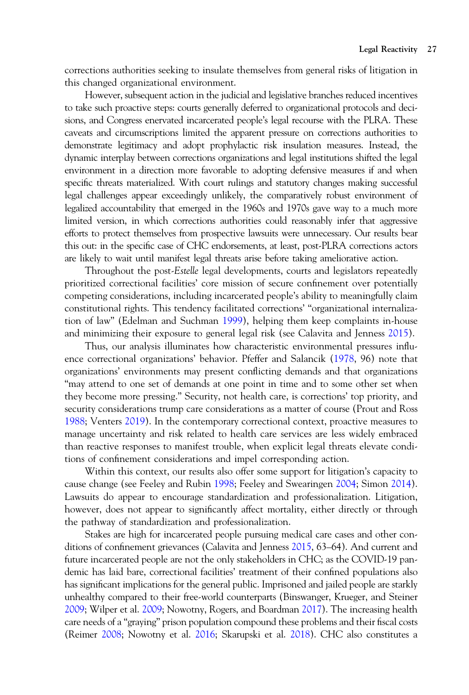corrections authorities seeking to insulate themselves from general risks of litigation in this changed organizational environment.

However, subsequent action in the judicial and legislative branches reduced incentives to take such proactive steps: courts generally deferred to organizational protocols and decisions, and Congress enervated incarcerated people's legal recourse with the PLRA. These caveats and circumscriptions limited the apparent pressure on corrections authorities to demonstrate legitimacy and adopt prophylactic risk insulation measures. Instead, the dynamic interplay between corrections organizations and legal institutions shifted the legal environment in a direction more favorable to adopting defensive measures if and when specific threats materialized. With court rulings and statutory changes making successful legal challenges appear exceedingly unlikely, the comparatively robust environment of legalized accountability that emerged in the 1960s and 1970s gave way to a much more limited version, in which corrections authorities could reasonably infer that aggressive efforts to protect themselves from prospective lawsuits were unnecessary. Our results bear this out: in the specific case of CHC endorsements, at least, post-PLRA corrections actors are likely to wait until manifest legal threats arise before taking ameliorative action.

Throughout the post-Estelle legal developments, courts and legislators repeatedly prioritized correctional facilities' core mission of secure confinement over potentially competing considerations, including incarcerated people's ability to meaningfully claim constitutional rights. This tendency facilitated corrections' "organizational internalization of law" (Edelman and Suchman [1999](#page-28-0)), helping them keep complaints in-house and minimizing their exposure to general legal risk (see Calavita and Jenness [2015](#page-28-0)).

Thus, our analysis illuminates how characteristic environmental pressures influence correctional organizations' behavior. Pfeffer and Salancik [\(1978](#page-30-0), 96) note that organizations' environments may present conflicting demands and that organizations "may attend to one set of demands at one point in time and to some other set when they become more pressing." Security, not health care, is corrections' top priority, and security considerations trump care considerations as a matter of course (Prout and Ross [1988;](#page-30-0) Venters [2019](#page-31-0)). In the contemporary correctional context, proactive measures to manage uncertainty and risk related to health care services are less widely embraced than reactive responses to manifest trouble, when explicit legal threats elevate conditions of confinement considerations and impel corresponding action.

Within this context, our results also offer some support for litigation's capacity to cause change (see Feeley and Rubin [1998;](#page-29-0) Feeley and Swearingen [2004](#page-29-0); Simon [2014](#page-31-0)). Lawsuits do appear to encourage standardization and professionalization. Litigation, however, does not appear to significantly affect mortality, either directly or through the pathway of standardization and professionalization.

Stakes are high for incarcerated people pursuing medical care cases and other conditions of confinement grievances (Calavita and Jenness [2015,](#page-28-0) 63–64). And current and future incarcerated people are not the only stakeholders in CHC; as the COVID-19 pandemic has laid bare, correctional facilities' treatment of their confined populations also has significant implications for the general public. Imprisoned and jailed people are starkly unhealthy compared to their free-world counterparts (Binswanger, Krueger, and Steiner [2009;](#page-28-0) Wilper et al. [2009;](#page-31-0) Nowotny, Rogers, and Boardman [2017](#page-30-0)). The increasing health care needs of a "graying" prison population compound these problems and their fiscal costs (Reimer [2008;](#page-30-0) Nowotny et al. [2016;](#page-30-0) Skarupski et al. [2018](#page-31-0)). CHC also constitutes a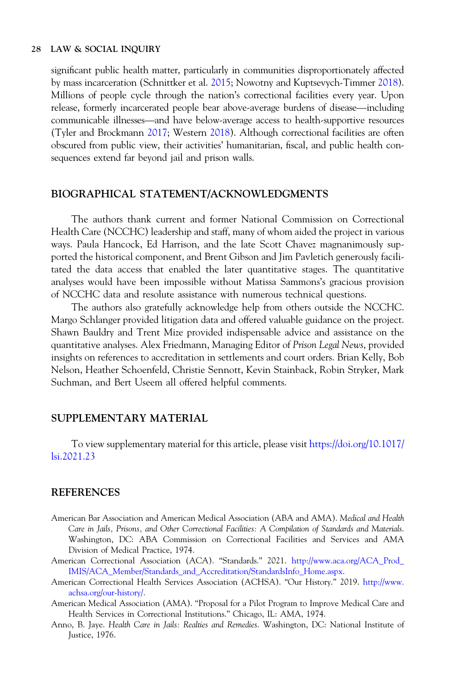<span id="page-27-0"></span>significant public health matter, particularly in communities disproportionately affected<br>by mass incarceration (Schnittker et al. 2015; Nowotny and Kuptsevych-Timmer 2018).<br>Millions of people cycle through the nation's co by mass incarceration (Schnittker et al. [2015](#page-31-0); Nowotny and Kuptsevych-Timmer [2018](#page-30-0)).<br>Millions of people cycle through the nation's correctional facilities every year. Upon<br>release, formerly incarcerated people bear above-av Millions of people cycle through the nation's correctional facilities every year. Upon (Tyler and Brockmann [2017](#page-31-0); Western [2018](#page-31-0)). Although correctional facilities are often obscured from public view, their activities' humanitarian, fiscal, and public health consequences extend far beyond jail and prison walls.

## BIOGRAPHICAL STATEMENT/ACKNOWLEDGMENTS

The authors thank current and former National Commission on Correctional Health Care (NCCHC) leadership and staff, many of whom aided the project in various ways. Paula Hancock, Ed Harrison, and the late Scott Chavez magnanimously supported the historical component, and Brent Gibson and Jim Pavletich generously facilitated the data access that enabled the later quantitative stages. The quantitative analyses would have been impossible without Matissa Sammons's gracious provision of NCCHC data and resolute assistance with numerous technical questions.

The authors also gratefully acknowledge help from others outside the NCCHC. Margo Schlanger provided litigation data and offered valuable guidance on the project. Shawn Bauldry and Trent Mize provided indispensable advice and assistance on the quantitative analyses. Alex Friedmann, Managing Editor of Prison Legal News, provided insights on references to accreditation in settlements and court orders. Brian Kelly, Bob Nelson, Heather Schoenfeld, Christie Sennott, Kevin Stainback, Robin Stryker, Mark Suchman, and Bert Useem all offered helpful comments.

# SUPPLEMENTARY MATERIAL

To view supplementary material for this article, please visit [https://doi.org/10.1017/](https://doi.org/10.1017/lsi.2021.23) [lsi.2021.23](https://doi.org/10.1017/lsi.2021.23)

## **REFERENCES**

- American Bar Association and American Medical Association (ABA and AMA). Medical and Health Care in Jails, Prisons, and Other Correctional Facilities: A Compilation of Standards and Materials. Washington, DC: ABA Commission on Correctional Facilities and Services and AMA Division of Medical Practice, 1974.
- American Correctional Association (ACA). "Standards." 2021. [http://www.aca.org/ACA\\_Prod\\_](http://www.aca.org/ACA_Prod_IMIS/ACA_Member/Standards_and_Accreditation/StandardsInfo_Home.aspx) [IMIS/ACA\\_Member/Standards\\_and\\_Accreditation/StandardsInfo\\_Home.aspx](http://www.aca.org/ACA_Prod_IMIS/ACA_Member/Standards_and_Accreditation/StandardsInfo_Home.aspx).
- American Correctional Health Services Association (ACHSA). "Our History." 2019. [http://www.](http://www.achsa.org/our-history/) [achsa.org/our-history/](http://www.achsa.org/our-history/).
- American Medical Association (AMA). "Proposal for a Pilot Program to Improve Medical Care and Health Services in Correctional Institutions." Chicago, IL: AMA, 1974.
- Anno, B. Jaye. Health Care in Jails: Realties and Remedies. Washington, DC: National Institute of Justice, 1976.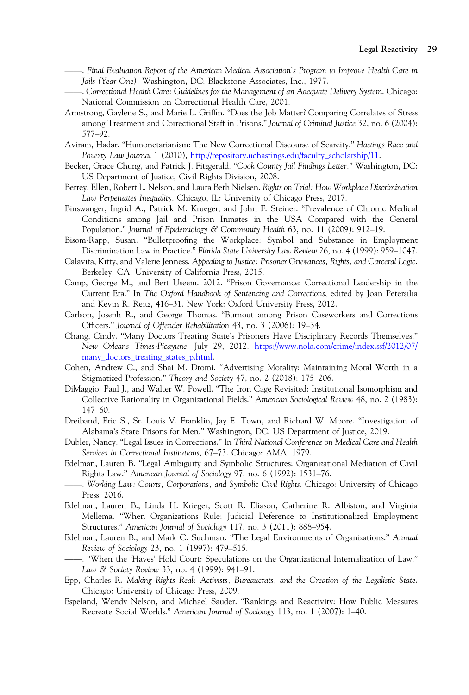- <span id="page-28-0"></span>. Final Evaluation Report of the American Medical Association's Program to Improve Health Care in Jails (Year One). Washington, DC: Blackstone Associates, Inc., 1977.
- . Correctional Health Care: Guidelines for the Management of an Adequate Delivery System. Chicago: National Commission on Correctional Health Care, 2001.
- Armstrong, Gaylene S., and Marie L. Griffin. "Does the Job Matter? Comparing Correlates of Stress among Treatment and Correctional Staff in Prisons." Journal of Criminal Justice 32, no. 6 (2004): 577–92.
- Aviram, Hadar. "Humonetarianism: The New Correctional Discourse of Scarcity." Hastings Race and Poverty Law Journal 1 (2010), [http://repository.uchastings.edu/faculty\\_scholarship/11.](http://repository.uchastings.edu/faculty_scholarship/11)
- Becker, Grace Chung, and Patrick J. Fitzgerald. "Cook County Jail Findings Letter." Washington, DC: US Department of Justice, Civil Rights Division, 2008.
- Berrey, Ellen, Robert L. Nelson, and Laura Beth Nielsen. Rights on Trial: How Workplace Discrimination Law Perpetuates Inequality. Chicago, IL: University of Chicago Press, 2017.
- Binswanger, Ingrid A., Patrick M. Krueger, and John F. Steiner. "Prevalence of Chronic Medical Conditions among Jail and Prison Inmates in the USA Compared with the General Population." Journal of Epidemiology & Community Health 63, no. 11 (2009): 912–19.
- Bisom-Rapp, Susan. "Bulletproofing the Workplace: Symbol and Substance in Employment Discrimination Law in Practice." Florida State University Law Review 26, no. 4 (1999): 959–1047.
- Calavita, Kitty, and Valerie Jenness. Appealing to Justice: Prisoner Grievances, Rights, and Carceral Logic. Berkeley, CA: University of California Press, 2015.
- Camp, George M., and Bert Useem. 2012. "Prison Governance: Correctional Leadership in the Current Era." In The Oxford Handbook of Sentencing and Corrections, edited by Joan Petersilia and Kevin R. Reitz, 416–31. New York: Oxford University Press, 2012.
- Carlson, Joseph R., and George Thomas. "Burnout among Prison Caseworkers and Corrections Officers." Journal of Offender Rehabilitation 43, no. 3 (2006): 19–34.
- Chang, Cindy. "Many Doctors Treating State's Prisoners Have Disciplinary Records Themselves." New Orleans Times-Picayune, July 29, 2012. [https://www.nola.com/crime/index.ssf/2012/07/](https://www.nola.com/crime/index.ssf/2012/07/many_doctors_treating_states_p.html) [many\\_doctors\\_treating\\_states\\_p.html](https://www.nola.com/crime/index.ssf/2012/07/many_doctors_treating_states_p.html).
- Cohen, Andrew C., and Shai M. Dromi. "Advertising Morality: Maintaining Moral Worth in a Stigmatized Profession." Theory and Society 47, no. 2 (2018): 175–206.
- DiMaggio, Paul J., and Walter W. Powell. "The Iron Cage Revisited: Institutional Isomorphism and Collective Rationality in Organizational Fields." American Sociological Review 48, no. 2 (1983): 147–60.
- Dreiband, Eric S., Sr. Louis V. Franklin, Jay E. Town, and Richard W. Moore. "Investigation of Alabama's State Prisons for Men." Washington, DC: US Department of Justice, 2019.
- Dubler, Nancy. "Legal Issues in Corrections." In Third National Conference on Medical Care and Health ——Services in Correctional Institutions, 67–73. Chicago: AMA, 1979.
- Edelman, Lauren B. "Legal Ambiguity and Symbolic Structures: Organizational Mediation of Civil Rights Law." American Journal of Sociology 97, no. 6 (1992): 1531–76.
- . Working Law: Courts, Corporations, and Symbolic Civil Rights. Chicago: University of Chicago Press, 2016.
- Edelman, Lauren B., Linda H. Krieger, Scott R. Eliason, Catherine R. Albiston, and Virginia Mellema. "When Organizations Rule: Judicial Deference to Institutionalized Employment Structures." American Journal of Sociology 117, no. 3 (2011): 888–954.
- Edelman, Lauren B., and Mark C. Suchman. "The Legal Environments of Organizations." Annual Review of Sociology 23, no. 1 (1997): 479–515.
- . "When the 'Haves' Hold Court: Speculations on the Organizational Internalization of Law." Law & Society Review 33, no. 4 (1999): 941–91.
- Epp, Charles R. Making Rights Real: Activists, Bureaucrats, and the Creation of the Legalistic State. Chicago: University of Chicago Press, 2009.
- Espeland, Wendy Nelson, and Michael Sauder. "Rankings and Reactivity: How Public Measures Recreate Social Worlds." American Journal of Sociology 113, no. 1 (2007): 1–40.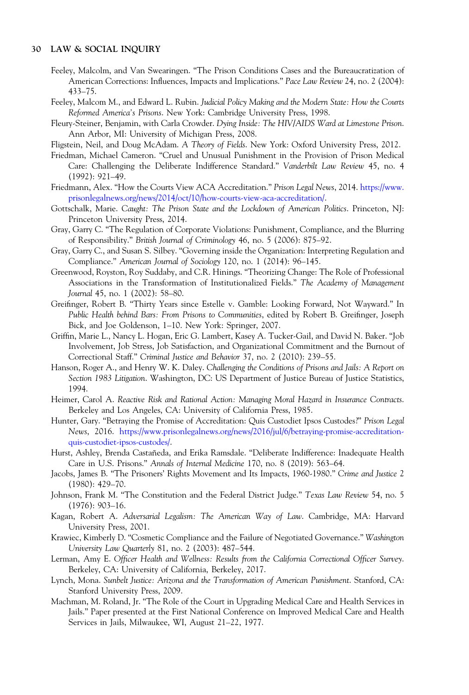- <span id="page-29-0"></span>Feeley, Malcolm, and Van Swearingen. "The Prison Conditions Cases and the Bureaucratization of American Corrections: Influences, Impacts and Implications." Pace Law Review 24, no. 2 (2004): 433–75.
- Feeley, Malcom M., and Edward L. Rubin. Judicial Policy Making and the Modern State: How the Courts Reformed America's Prisons. New York: Cambridge University Press, 1998.
- Fleury-Steiner, Benjamin, with Carla Crowder. Dying Inside: The HIV/AIDS Ward at Limestone Prison. Ann Arbor, MI: University of Michigan Press, 2008.
- Fligstein, Neil, and Doug McAdam. A Theory of Fields. New York: Oxford University Press, 2012.
- Friedman, Michael Cameron. "Cruel and Unusual Punishment in the Provision of Prison Medical Care: Challenging the Deliberate Indifference Standard." Vanderbilt Law Review 45, no. 4 (1992): 921–49.
- Friedmann, Alex. "How the Courts View ACA Accreditation." Prison Legal News, 2014. [https://www.](https://www.prisonlegalnews.org/news/2014/oct/10/how-courts-view-aca-accreditation/) [prisonlegalnews.org/news/2014/oct/10/how-courts-view-aca-accreditation/.](https://www.prisonlegalnews.org/news/2014/oct/10/how-courts-view-aca-accreditation/)
- Gottschalk, Marie. Caught: The Prison State and the Lockdown of American Politics. Princeton, NJ: Princeton University Press, 2014.
- Gray, Garry C. "The Regulation of Corporate Violations: Punishment, Compliance, and the Blurring of Responsibility." British Journal of Criminology 46, no. 5 (2006): 875–92.
- Gray, Garry C., and Susan S. Silbey. "Governing inside the Organization: Interpreting Regulation and Compliance." American Journal of Sociology 120, no. 1 (2014): 96–145.
- Greenwood, Royston, Roy Suddaby, and C.R. Hinings. "Theorizing Change: The Role of Professional Associations in the Transformation of Institutionalized Fields." The Academy of Management Journal 45, no. 1 (2002): 58–80.
- Greifinger, Robert B. "Thirty Years since Estelle v. Gamble: Looking Forward, Not Wayward." In Public Health behind Bars: From Prisons to Communities, edited by Robert B. Greifinger, Joseph Bick, and Joe Goldenson, 1–10. New York: Springer, 2007.
- Griffin, Marie L., Nancy L. Hogan, Eric G. Lambert, Kasey A. Tucker-Gail, and David N. Baker. "Job Involvement, Job Stress, Job Satisfaction, and Organizational Commitment and the Burnout of Correctional Staff." Criminal Justice and Behavior 37, no. 2 (2010): 239–55.
- Hanson, Roger A., and Henry W. K. Daley. Challenging the Conditions of Prisons and Jails: A Report on Section 1983 Litigation. Washington, DC: US Department of Justice Bureau of Justice Statistics, 1994.
- Heimer, Carol A. Reactive Risk and Rational Action: Managing Moral Hazard in Insurance Contracts. Berkeley and Los Angeles, CA: University of California Press, 1985.
- Hunter, Gary. "Betraying the Promise of Accreditation: Quis Custodiet Ipsos Custodes?" Prison Legal News, 2016. [https://www.prisonlegalnews.org/news/2016/jul/6/betraying-promise-accreditation](https://www.prisonlegalnews.org/news/2016/jul/6/betraying-promise-accreditation-quis-custodiet-ipsos-custodes/)[quis-custodiet-ipsos-custodes/](https://www.prisonlegalnews.org/news/2016/jul/6/betraying-promise-accreditation-quis-custodiet-ipsos-custodes/).
- Hurst, Ashley, Brenda Castañeda, and Erika Ramsdale. "Deliberate Indifference: Inadequate Health Care in U.S. Prisons." Annals of Internal Medicine 170, no. 8 (2019): 563–64.
- Jacobs, James B. "The Prisoners' Rights Movement and Its Impacts, 1960-1980." Crime and Justice 2 (1980): 429–70.
- Johnson, Frank M. "The Constitution and the Federal District Judge." Texas Law Review 54, no. 5 (1976): 903–16.
- Kagan, Robert A. Adversarial Legalism: The American Way of Law. Cambridge, MA: Harvard University Press, 2001.
- Krawiec, Kimberly D. "Cosmetic Compliance and the Failure of Negotiated Governance." Washington University Law Quarterly 81, no. 2 (2003): 487–544.
- Lerman, Amy E. Officer Health and Wellness: Results from the California Correctional Officer Survey. Berkeley, CA: University of California, Berkeley, 2017.
- Lynch, Mona. Sunbelt Justice: Arizona and the Transformation of American Punishment. Stanford, CA: Stanford University Press, 2009.
- Machman, M. Roland, Jr. "The Role of the Court in Upgrading Medical Care and Health Services in Jails." Paper presented at the First National Conference on Improved Medical Care and Health Services in Jails, Milwaukee, WI, August 21–22, 1977.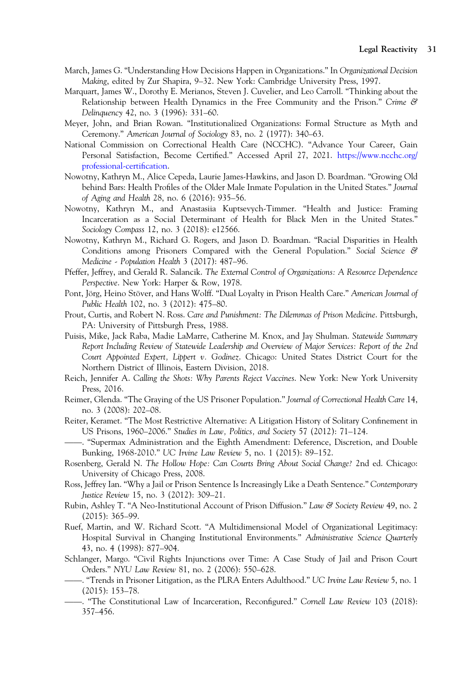- <span id="page-30-0"></span>March, James G. "Understanding How Decisions Happen in Organizations." In Organizational Decision Making, edited by Zur Shapira, 9–32. New York: Cambridge University Press, 1997.
- Marquart, James W., Dorothy E. Merianos, Steven J. Cuvelier, and Leo Carroll. "Thinking about the Relationship between Health Dynamics in the Free Community and the Prison." Crime & Delinquency 42, no. 3 (1996): 331–60.
- Meyer, John, and Brian Rowan. "Institutionalized Organizations: Formal Structure as Myth and Ceremony." American Journal of Sociology 83, no. 2 (1977): 340–63.
- National Commission on Correctional Health Care (NCCHC). "Advance Your Career, Gain Personal Satisfaction, Become Certified." Accessed April 27, 2021. [https://www.ncchc.org/](https://www.ncchc.org/professional-certification) [professional-certi](https://www.ncchc.org/professional-certification)fication.
- Nowotny, Kathryn M., Alice Cepeda, Laurie James-Hawkins, and Jason D. Boardman. "Growing Old behind Bars: Health Profiles of the Older Male Inmate Population in the United States." Journal of Aging and Health 28, no. 6 (2016): 935–56.
- Nowotny, Kathryn M., and Anastasiia Kuptsevych-Timmer. "Health and Justice: Framing Incarceration as a Social Determinant of Health for Black Men in the United States." Sociology Compass 12, no. 3 (2018): e12566.
- Nowotny, Kathryn M., Richard G. Rogers, and Jason D. Boardman. "Racial Disparities in Health Conditions among Prisoners Compared with the General Population." Social Science & Medicine - Population Health 3 (2017): 487–96.
- Pfeffer, Jeffrey, and Gerald R. Salancik. The External Control of Organizations: A Resource Dependence Perspective. New York: Harper & Row, 1978.
- Pont, Jörg, Heino Stöver, and Hans Wolff. "Dual Loyalty in Prison Health Care." American Journal of Public Health 102, no. 3 (2012): 475–80.
- Prout, Curtis, and Robert N. Ross. Care and Punishment: The Dilemmas of Prison Medicine. Pittsburgh, PA: University of Pittsburgh Press, 1988.
- Puisis, Mike, Jack Raba, Madie LaMarre, Catherine M. Knox, and Jay Shulman. Statewide Summary Report Including Review of Statewide Leadership and Overview of Major Services: Report of the 2nd Court Appointed Expert, Lippert v. Godinez. Chicago: United States District Court for the Northern District of Illinois, Eastern Division, 2018.
- Reich, Jennifer A. Calling the Shots: Why Parents Reject Vaccines. New York: New York University Press, 2016.
- Reimer, Glenda. "The Graying of the US Prisoner Population." Journal of Correctional Health Care 14, no. 3 (2008): 202–08.
- Reiter, Keramet. "The Most Restrictive Alternative: A Litigation History of Solitary Confinement in US Prisons, 1960–2006." Studies in Law, Politics, and Society 57 (2012): 71–124.
- . "Supermax Administration and the Eighth Amendment: Deference, Discretion, and Double Bunking, 1968-2010." UC Irvine Law Review 5, no. 1 (2015): 89–152.
- Rosenberg, Gerald N. The Hollow Hope: Can Courts Bring About Social Change? 2nd ed. Chicago: University of Chicago Press, 2008.
- Ross, Jeffrey Ian. "Why a Jail or Prison Sentence Is Increasingly Like a Death Sentence." Contemporary Justice Review 15, no. 3 (2012): 309–21.
- Rubin, Ashley T. "A Neo-Institutional Account of Prison Diffusion." Law & Society Review 49, no. 2 (2015): 365–99.
- Ruef, Martin, and W. Richard Scott. "A Multidimensional Model of Organizational Legitimacy: Hospital Survival in Changing Institutional Environments." Administrative Science Quarterly 43, no. 4 (1998): 877–904.
- Schlanger, Margo. "Civil Rights Injunctions over Time: A Case Study of Jail and Prison Court<br>
Orders," NVU Law Pavisus 81, p.o. 2 (2006), 550, 628 Orders." NYU Law Review 81, no. 2 (2006): 550–628.
- . "Trends in Prisoner Litigation, as the PLRA Enters Adulthood." UC Irvine Law Review 5, no. 1 (2015): 153–78.
- . "The Constitutional Law of Incarceration, Reconfigured." Cornell Law Review 103 (2018): 357–456.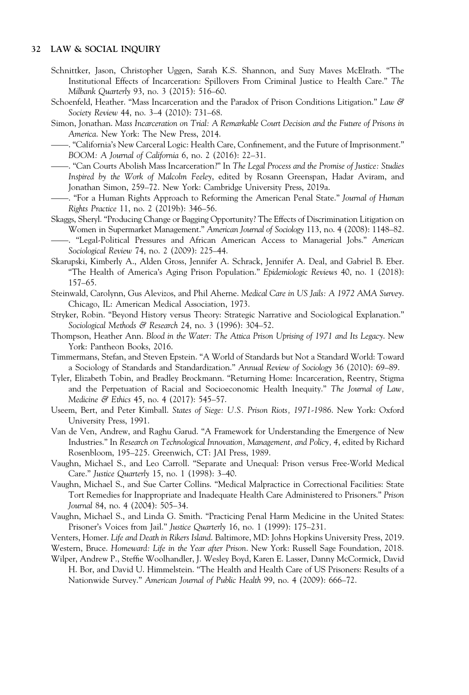- <span id="page-31-0"></span>Schnittker, Jason, Christopher Uggen, Sarah K.S. Shannon, and Suzy Maves McElrath. "The Institutional Effects of Incarceration: Spillovers From Criminal Justice to Health Care." The Milbank Quarterly 93, no. 3 (2015): 516–60.
- Schoenfeld, Heather. "Mass Incarceration and the Paradox of Prison Conditions Litigation." Law & Society Review 44, no. 3–4 (2010): 731–68.
- Simon, Jonathan. Mass Incarceration on Trial: A Remarkable Court Decision and the Future of Prisons in ——America. New York: The New Press, 2014.
- . "California's New Carceral Logic: Health Care, Confinement, and the Future of Imprisonment." BOOM: A Journal of California 6, no. 2 (2016): 22–31.
- . "Can Courts Abolish Mass Incarceration?" In The Legal Process and the Promise of Justice: Studies Inspired by the Work of Malcolm Feeley, edited by Rosann Greenspan, Hadar Aviram, and Jonathan Simon, 259–72. New York: Cambridge University Press, 2019a.
- . "For a Human Rights Approach to Reforming the American Penal State." Journal of Human Rights Practice 11, no. 2 (2019b): 346–56.
- Skaggs, Sheryl. "Producing Change or Bagging Opportunity? The Effects of Discrimination Litigation on Women in Supermarket Management." American Journal of Sociology 113, no. 4 (2008): 1148–82. . "Legal-Political Pressures and African American Access to Managerial Jobs." American
- Sociological Review 74, no. 2 (2009): 225–44.
- Skarupski, Kimberly A., Alden Gross, Jennifer A. Schrack, Jennifer A. Deal, and Gabriel B. Eber. "The Health of America's Aging Prison Population." Epidemiologic Reviews 40, no. 1 (2018): 157–65.
- Steinwald, Carolynn, Gus Alevizos, and Phil Aherne. Medical Care in US Jails: A 1972 AMA Survey. Chicago, IL: American Medical Association, 1973.
- Stryker, Robin. "Beyond History versus Theory: Strategic Narrative and Sociological Explanation." Sociological Methods & Research 24, no. 3 (1996): 304-52.
- Thompson, Heather Ann. Blood in the Water: The Attica Prison Uprising of 1971 and Its Legacy. New York: Pantheon Books, 2016.
- Timmermans, Stefan, and Steven Epstein. "A World of Standards but Not a Standard World: Toward a Sociology of Standards and Standardization." Annual Review of Sociology 36 (2010): 69–89.
- Tyler, Elizabeth Tobin, and Bradley Brockmann. "Returning Home: Incarceration, Reentry, Stigma and the Perpetuation of Racial and Socioeconomic Health Inequity." The Journal of Law, Medicine & Ethics 45, no. 4 (2017): 545–57.
- Useem, Bert, and Peter Kimball. States of Siege: U.S. Prison Riots, 1971-1986. New York: Oxford University Press, 1991.
- Van de Ven, Andrew, and Raghu Garud. "A Framework for Understanding the Emergence of New Industries." In Research on Technological Innovation, Management, and Policy, 4, edited by Richard Rosenbloom, 195–225. Greenwich, CT: JAI Press, 1989.
- Vaughn, Michael S., and Leo Carroll. "Separate and Unequal: Prison versus Free-World Medical Care." Justice Quarterly 15, no. 1 (1998): 3–40.
- Vaughn, Michael S., and Sue Carter Collins. "Medical Malpractice in Correctional Facilities: State Tort Remedies for Inappropriate and Inadequate Health Care Administered to Prisoners." Prison Journal 84, no. 4 (2004): 505–34.
- Vaughn, Michael S., and Linda G. Smith. "Practicing Penal Harm Medicine in the United States: Prisoner's Voices from Jail." Justice Quarterly 16, no. 1 (1999): 175–231.

Venters, Homer. Life and Death in Rikers Island. Baltimore, MD: Johns Hopkins University Press, 2019.

- Western, Bruce. Homeward: Life in the Year after Prison. New York: Russell Sage Foundation, 2018.
- Wilper, Andrew P., Steffie Woolhandler, J. Wesley Boyd, Karen E. Lasser, Danny McCormick, David H. Bor, and David U. Himmelstein. "The Health and Health Care of US Prisoners: Results of a Nationwide Survey." American Journal of Public Health 99, no. 4 (2009): 666–72.